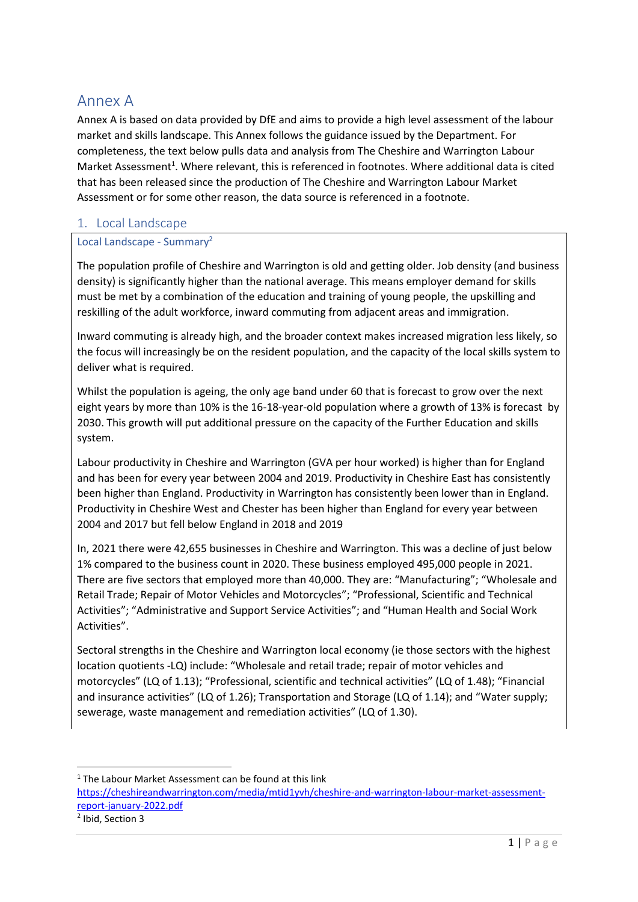# Annex A

Annex A is based on data provided by DfE and aims to provide a high level assessment of the labour market and skills landscape. This Annex follows the guidance issued by the Department. For completeness, the text below pulls data and analysis from The Cheshire and Warrington Labour Market Assessment<sup>1</sup>. Where relevant, this is referenced in footnotes. Where additional data is cited that has been released since the production of The Cheshire and Warrington Labour Market Assessment or for some other reason, the data source is referenced in a footnote.

# 1. Local Landscape

## Local Landscape - Summary<sup>2</sup>

The population profile of Cheshire and Warrington is old and getting older. Job density (and business density) is significantly higher than the national average. This means employer demand for skills must be met by a combination of the education and training of young people, the upskilling and reskilling of the adult workforce, inward commuting from adjacent areas and immigration.

Inward commuting is already high, and the broader context makes increased migration less likely, so the focus will increasingly be on the resident population, and the capacity of the local skills system to deliver what is required.

Whilst the population is ageing, the only age band under 60 that is forecast to grow over the next eight years by more than 10% is the 16-18-year-old population where a growth of 13% is forecast by 2030. This growth will put additional pressure on the capacity of the Further Education and skills system.

Labour productivity in Cheshire and Warrington (GVA per hour worked) is higher than for England and has been for every year between 2004 and 2019. Productivity in Cheshire East has consistently been higher than England. Productivity in Warrington has consistently been lower than in England. Productivity in Cheshire West and Chester has been higher than England for every year between 2004 and 2017 but fell below England in 2018 and 2019

In, 2021 there were 42,655 businesses in Cheshire and Warrington. This was a decline of just below 1% compared to the business count in 2020. These business employed 495,000 people in 2021. There are five sectors that employed more than 40,000. They are: "Manufacturing"; "Wholesale and Retail Trade; Repair of Motor Vehicles and Motorcycles"; "Professional, Scientific and Technical Activities"; "Administrative and Support Service Activities"; and "Human Health and Social Work Activities".

Sectoral strengths in the Cheshire and Warrington local economy (ie those sectors with the highest location quotients -LQ) include: "Wholesale and retail trade; repair of motor vehicles and motorcycles" (LQ of 1.13); "Professional, scientific and technical activities" (LQ of 1.48); "Financial and insurance activities" (LQ of 1.26); Transportation and Storage (LQ of 1.14); and "Water supply; sewerage, waste management and remediation activities" (LQ of 1.30).

 $1$  The Labour Market Assessment can be found at this link

[https://cheshireandwarrington.com/media/mtid1yvh/cheshire-and-warrington-labour-market-assessment](https://cheshireandwarrington.com/media/mtid1yvh/cheshire-and-warrington-labour-market-assessment-report-january-2022.pdf)[report-january-2022.pdf](https://cheshireandwarrington.com/media/mtid1yvh/cheshire-and-warrington-labour-market-assessment-report-january-2022.pdf)

<sup>2</sup> Ibid, Section 3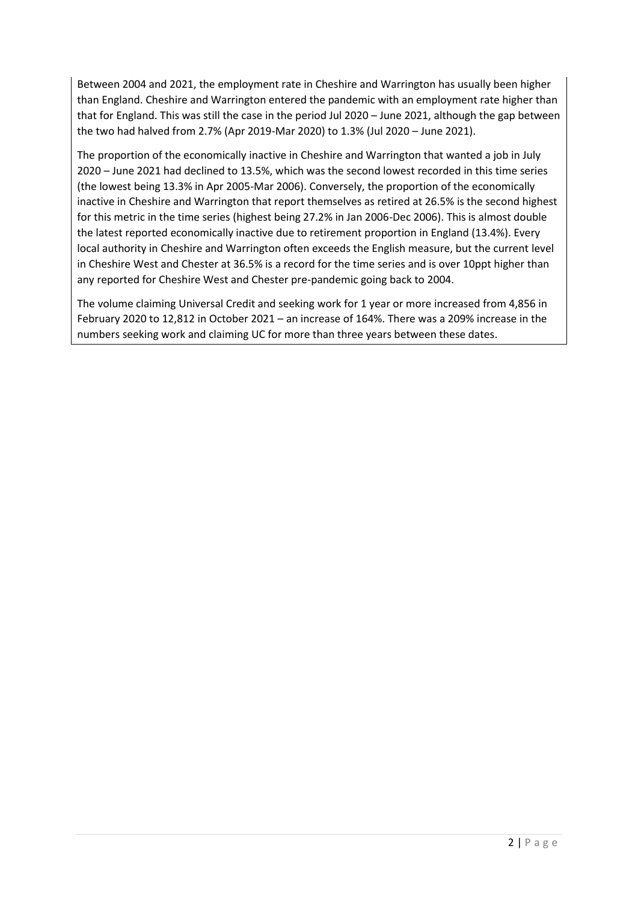Between 2004 and 2021, the employment rate in Cheshire and Warrington has usually been higher than England. Cheshire and Warrington entered the pandemic with an employment rate higher than that for England. This was still the case in the period Jul 2020 – June 2021, although the gap between the two had halved from 2.7% (Apr 2019-Mar 2020) to 1.3% (Jul 2020 – June 2021).

The proportion of the economically inactive in Cheshire and Warrington that wanted a job in July 2020 – June 2021 had declined to 13.5%, which was the second lowest recorded in this time series (the lowest being 13.3% in Apr 2005-Mar 2006). Conversely, the proportion of the economically inactive in Cheshire and Warrington that report themselves as retired at 26.5% is the second highest for this metric in the time series (highest being 27.2% in Jan 2006-Dec 2006). This is almost double the latest reported economically inactive due to retirement proportion in England (13.4%). Every local authority in Cheshire and Warrington often exceeds the English measure, but the current level in Cheshire West and Chester at 36.5% is a record for the time series and is over 10ppt higher than any reported for Cheshire West and Chester pre-pandemic going back to 2004.

The volume claiming Universal Credit and seeking work for 1 year or more increased from 4,856 in February 2020 to 12,812 in October 2021 – an increase of 164%. There was a 209% increase in the numbers seeking work and claiming UC for more than three years between these dates.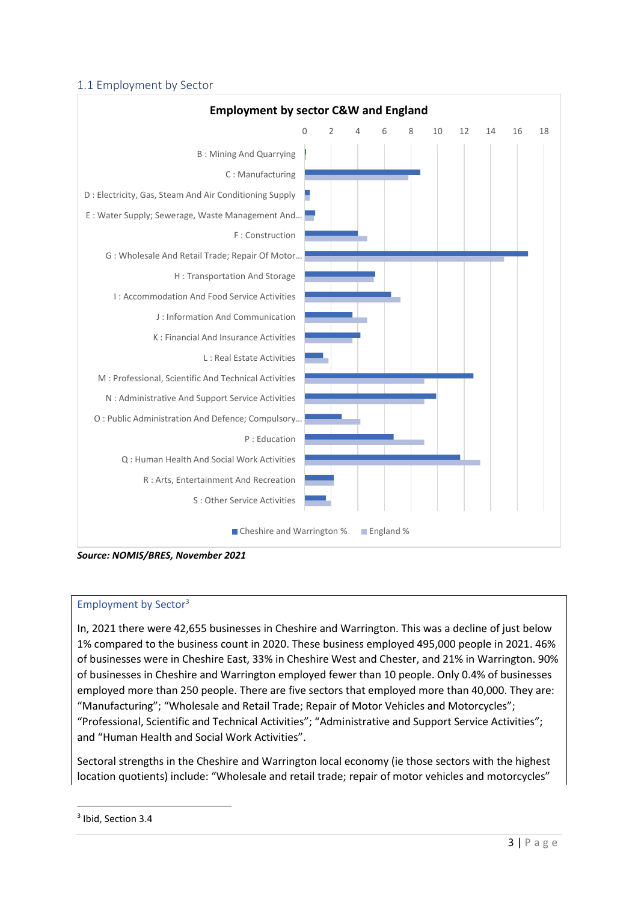## 1.1 Employment by Sector



*Source: NOMIS/BRES, November 2021*

## Employment by Sector<sup>3</sup>

In, 2021 there were 42,655 businesses in Cheshire and Warrington. This was a decline of just below 1% compared to the business count in 2020. These business employed 495,000 people in 2021. 46% of businesses were in Cheshire East, 33% in Cheshire West and Chester, and 21% in Warrington. 90% of businesses in Cheshire and Warrington employed fewer than 10 people. Only 0.4% of businesses employed more than 250 people. There are five sectors that employed more than 40,000. They are: "Manufacturing"; "Wholesale and Retail Trade; Repair of Motor Vehicles and Motorcycles"; "Professional, Scientific and Technical Activities"; "Administrative and Support Service Activities"; and "Human Health and Social Work Activities".

Sectoral strengths in the Cheshire and Warrington local economy (ie those sectors with the highest location quotients) include: "Wholesale and retail trade; repair of motor vehicles and motorcycles"

<sup>&</sup>lt;sup>3</sup> Ibid, Section 3.4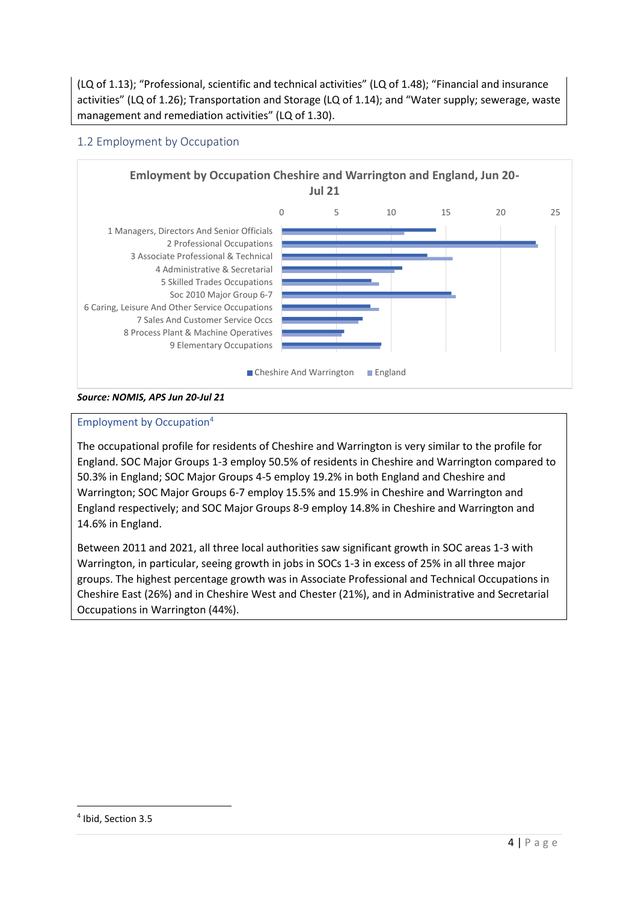(LQ of 1.13); "Professional, scientific and technical activities" (LQ of 1.48); "Financial and insurance activities" (LQ of 1.26); Transportation and Storage (LQ of 1.14); and "Water supply; sewerage, waste management and remediation activities" (LQ of 1.30).

# 1.2 Employment by Occupation



#### *Source: NOMIS, APS Jun 20-Jul 21*

## Employment by Occupation<sup>4</sup>

The occupational profile for residents of Cheshire and Warrington is very similar to the profile for England. SOC Major Groups 1-3 employ 50.5% of residents in Cheshire and Warrington compared to 50.3% in England; SOC Major Groups 4-5 employ 19.2% in both England and Cheshire and Warrington; SOC Major Groups 6-7 employ 15.5% and 15.9% in Cheshire and Warrington and England respectively; and SOC Major Groups 8-9 employ 14.8% in Cheshire and Warrington and 14.6% in England.

Between 2011 and 2021, all three local authorities saw significant growth in SOC areas 1-3 with Warrington, in particular, seeing growth in jobs in SOCs 1-3 in excess of 25% in all three major groups. The highest percentage growth was in Associate Professional and Technical Occupations in Cheshire East (26%) and in Cheshire West and Chester (21%), and in Administrative and Secretarial Occupations in Warrington (44%).

<sup>4</sup> Ibid, Section 3.5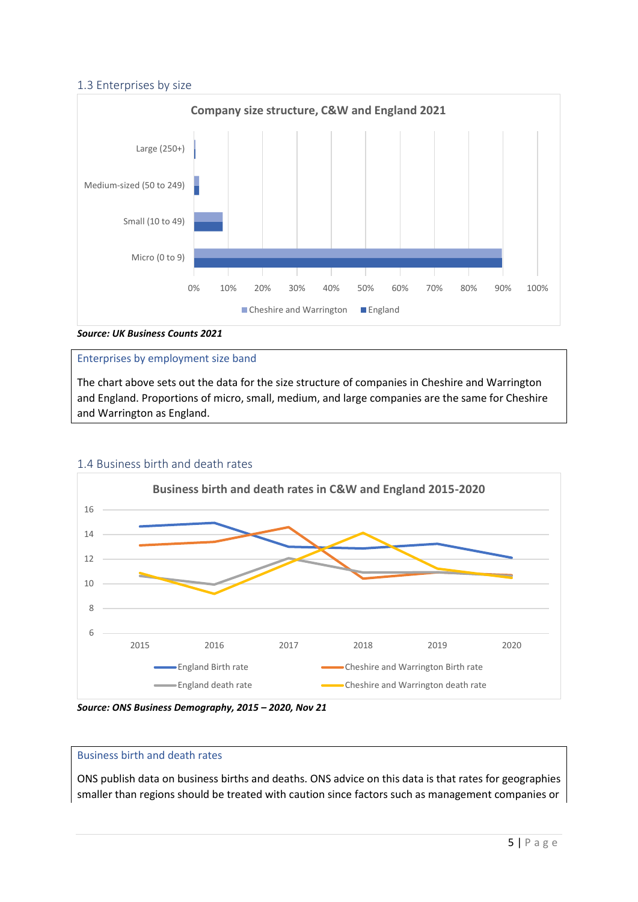## 1.3 Enterprises by size



## Enterprises by employment size band

The chart above sets out the data for the size structure of companies in Cheshire and Warrington and England. Proportions of micro, small, medium, and large companies are the same for Cheshire and Warrington as England.



#### 1.4 Business birth and death rates

#### Business birth and death rates

ONS publish data on business births and deaths. ONS advice on this data is that rates for geographies smaller than regions should be treated with caution since factors such as management companies or

*Source: ONS Business Demography, 2015 – 2020, Nov 21*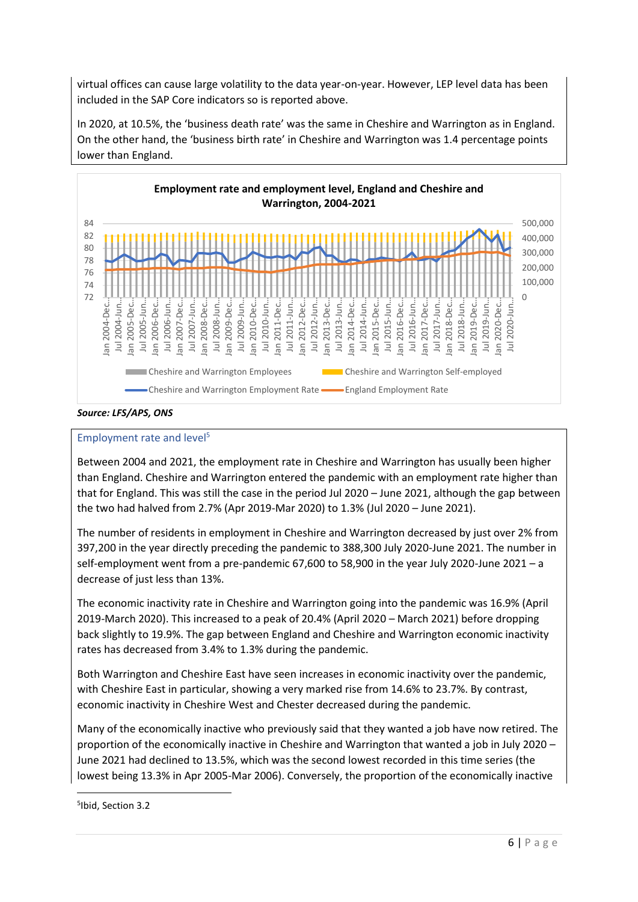virtual offices can cause large volatility to the data year-on-year. However, LEP level data has been included in the SAP Core indicators so is reported above.

In 2020, at 10.5%, the 'business death rate' was the same in Cheshire and Warrington as in England. On the other hand, the 'business birth rate' in Cheshire and Warrington was 1.4 percentage points lower than England.



*Source: LFS/APS, ONS*

## Employment rate and level<sup>5</sup>

Between 2004 and 2021, the employment rate in Cheshire and Warrington has usually been higher than England. Cheshire and Warrington entered the pandemic with an employment rate higher than that for England. This was still the case in the period Jul 2020 – June 2021, although the gap between the two had halved from 2.7% (Apr 2019-Mar 2020) to 1.3% (Jul 2020 – June 2021).

The number of residents in employment in Cheshire and Warrington decreased by just over 2% from 397,200 in the year directly preceding the pandemic to 388,300 July 2020-June 2021. The number in self-employment went from a pre-pandemic 67,600 to 58,900 in the year July 2020-June 2021 – a decrease of just less than 13%.

The economic inactivity rate in Cheshire and Warrington going into the pandemic was 16.9% (April 2019-March 2020). This increased to a peak of 20.4% (April 2020 – March 2021) before dropping back slightly to 19.9%. The gap between England and Cheshire and Warrington economic inactivity rates has decreased from 3.4% to 1.3% during the pandemic.

Both Warrington and Cheshire East have seen increases in economic inactivity over the pandemic, with Cheshire East in particular, showing a very marked rise from 14.6% to 23.7%. By contrast, economic inactivity in Cheshire West and Chester decreased during the pandemic.

Many of the economically inactive who previously said that they wanted a job have now retired. The proportion of the economically inactive in Cheshire and Warrington that wanted a job in July 2020 – June 2021 had declined to 13.5%, which was the second lowest recorded in this time series (the lowest being 13.3% in Apr 2005-Mar 2006). Conversely, the proportion of the economically inactive

<sup>5</sup> Ibid, Section 3.2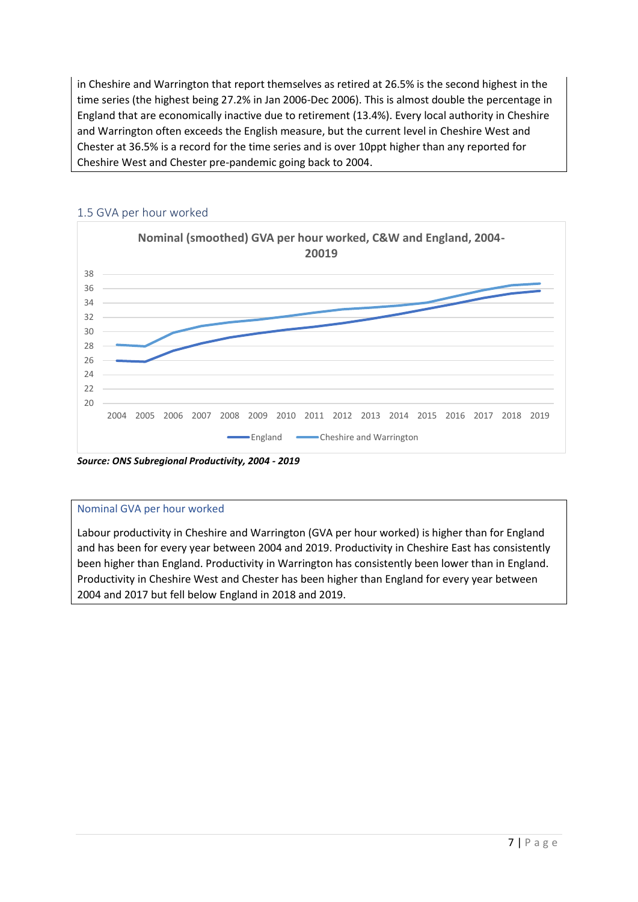in Cheshire and Warrington that report themselves as retired at 26.5% is the second highest in the time series (the highest being 27.2% in Jan 2006-Dec 2006). This is almost double the percentage in England that are economically inactive due to retirement (13.4%). Every local authority in Cheshire and Warrington often exceeds the English measure, but the current level in Cheshire West and Chester at 36.5% is a record for the time series and is over 10ppt higher than any reported for Cheshire West and Chester pre-pandemic going back to 2004.



## 1.5 GVA per hour worked

*Source: ONS Subregional Productivity, 2004 - 2019*

#### Nominal GVA per hour worked

Labour productivity in Cheshire and Warrington (GVA per hour worked) is higher than for England and has been for every year between 2004 and 2019. Productivity in Cheshire East has consistently been higher than England. Productivity in Warrington has consistently been lower than in England. Productivity in Cheshire West and Chester has been higher than England for every year between 2004 and 2017 but fell below England in 2018 and 2019.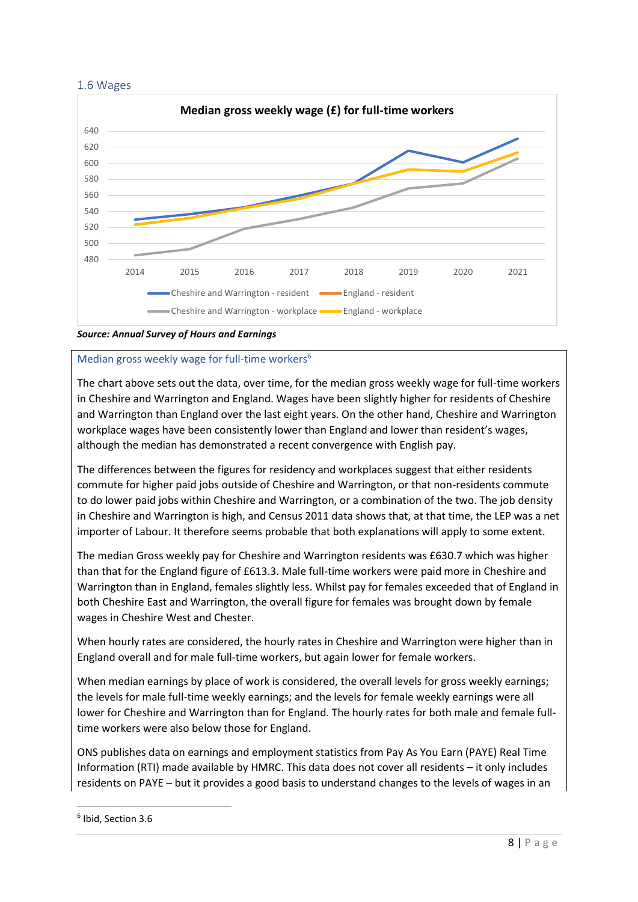



*Source: Annual Survey of Hours and Earnings*

## Median gross weekly wage for full-time workers<sup>6</sup>

The chart above sets out the data, over time, for the median gross weekly wage for full-time workers in Cheshire and Warrington and England. Wages have been slightly higher for residents of Cheshire and Warrington than England over the last eight years. On the other hand, Cheshire and Warrington workplace wages have been consistently lower than England and lower than resident's wages, although the median has demonstrated a recent convergence with English pay.

The differences between the figures for residency and workplaces suggest that either residents commute for higher paid jobs outside of Cheshire and Warrington, or that non-residents commute to do lower paid jobs within Cheshire and Warrington, or a combination of the two. The job density in Cheshire and Warrington is high, and Census 2011 data shows that, at that time, the LEP was a net importer of Labour. It therefore seems probable that both explanations will apply to some extent.

The median Gross weekly pay for Cheshire and Warrington residents was £630.7 which was higher than that for the England figure of £613.3. Male full-time workers were paid more in Cheshire and Warrington than in England, females slightly less. Whilst pay for females exceeded that of England in both Cheshire East and Warrington, the overall figure for females was brought down by female wages in Cheshire West and Chester.

When hourly rates are considered, the hourly rates in Cheshire and Warrington were higher than in England overall and for male full-time workers, but again lower for female workers.

When median earnings by place of work is considered, the overall levels for gross weekly earnings; the levels for male full-time weekly earnings; and the levels for female weekly earnings were all lower for Cheshire and Warrington than for England. The hourly rates for both male and female fulltime workers were also below those for England.

ONS publishes data on earnings and employment statistics from Pay As You Earn (PAYE) Real Time Information (RTI) made available by HMRC. This data does not cover all residents – it only includes residents on PAYE – but it provides a good basis to understand changes to the levels of wages in an

<sup>6</sup> Ibid, Section 3.6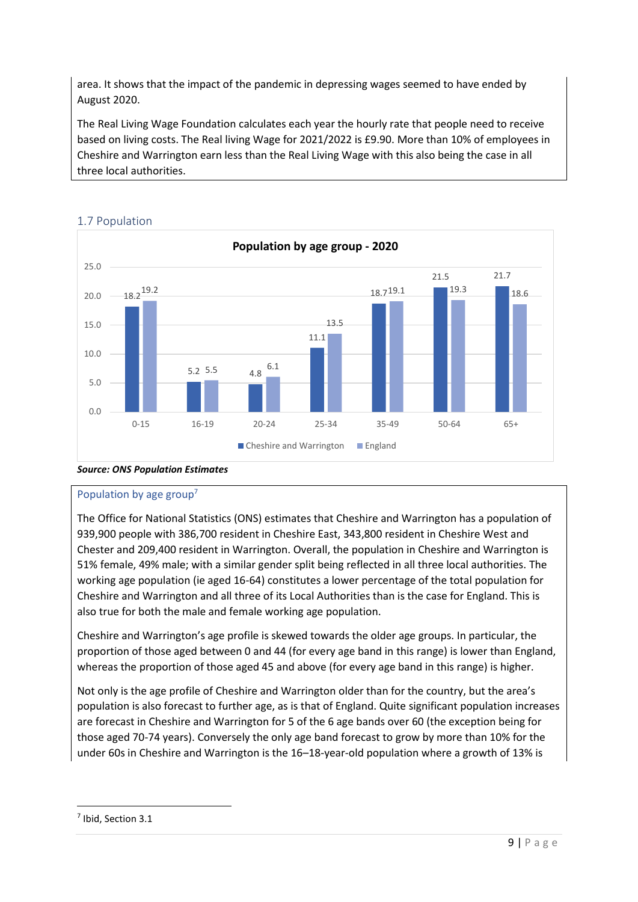area. It shows that the impact of the pandemic in depressing wages seemed to have ended by August 2020.

The Real Living Wage Foundation calculates each year the hourly rate that people need to receive based on living costs. The Real living Wage for 2021/2022 is £9.90. More than 10% of employees in Cheshire and Warrington earn less than the Real Living Wage with this also being the case in all three local authorities.



# 1.7 Population

# *Source: ONS Population Estimates*

# Population by age group<sup>7</sup>

The Office for National Statistics (ONS) estimates that Cheshire and Warrington has a population of 939,900 people with 386,700 resident in Cheshire East, 343,800 resident in Cheshire West and Chester and 209,400 resident in Warrington. Overall, the population in Cheshire and Warrington is 51% female, 49% male; with a similar gender split being reflected in all three local authorities. The working age population (ie aged 16-64) constitutes a lower percentage of the total population for Cheshire and Warrington and all three of its Local Authorities than is the case for England. This is also true for both the male and female working age population.

Cheshire and Warrington's age profile is skewed towards the older age groups. In particular, the proportion of those aged between 0 and 44 (for every age band in this range) is lower than England, whereas the proportion of those aged 45 and above (for every age band in this range) is higher.

Not only is the age profile of Cheshire and Warrington older than for the country, but the area's population is also forecast to further age, as is that of England. Quite significant population increases are forecast in Cheshire and Warrington for 5 of the 6 age bands over 60 (the exception being for those aged 70-74 years). Conversely the only age band forecast to grow by more than 10% for the under 60s in Cheshire and Warrington is the 16–18-year-old population where a growth of 13% is

<sup>7</sup> Ibid, Section 3.1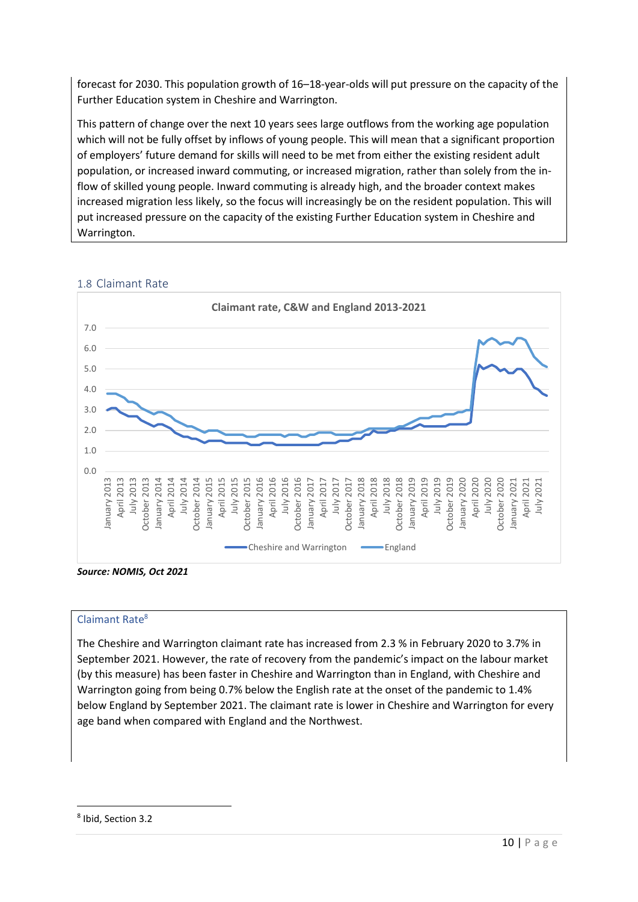forecast for 2030. This population growth of 16–18-year-olds will put pressure on the capacity of the Further Education system in Cheshire and Warrington.

This pattern of change over the next 10 years sees large outflows from the working age population which will not be fully offset by inflows of young people. This will mean that a significant proportion of employers' future demand for skills will need to be met from either the existing resident adult population, or increased inward commuting, or increased migration, rather than solely from the inflow of skilled young people. Inward commuting is already high, and the broader context makes increased migration less likely, so the focus will increasingly be on the resident population. This will put increased pressure on the capacity of the existing Further Education system in Cheshire and Warrington.



## 1.8 Claimant Rate

*Source: NOMIS, Oct 2021*

## Claimant Rate<sup>8</sup>

The Cheshire and Warrington claimant rate has increased from 2.3 % in February 2020 to 3.7% in September 2021. However, the rate of recovery from the pandemic's impact on the labour market (by this measure) has been faster in Cheshire and Warrington than in England, with Cheshire and Warrington going from being 0.7% below the English rate at the onset of the pandemic to 1.4% below England by September 2021. The claimant rate is lower in Cheshire and Warrington for every age band when compared with England and the Northwest.

<sup>8</sup> Ibid, Section 3.2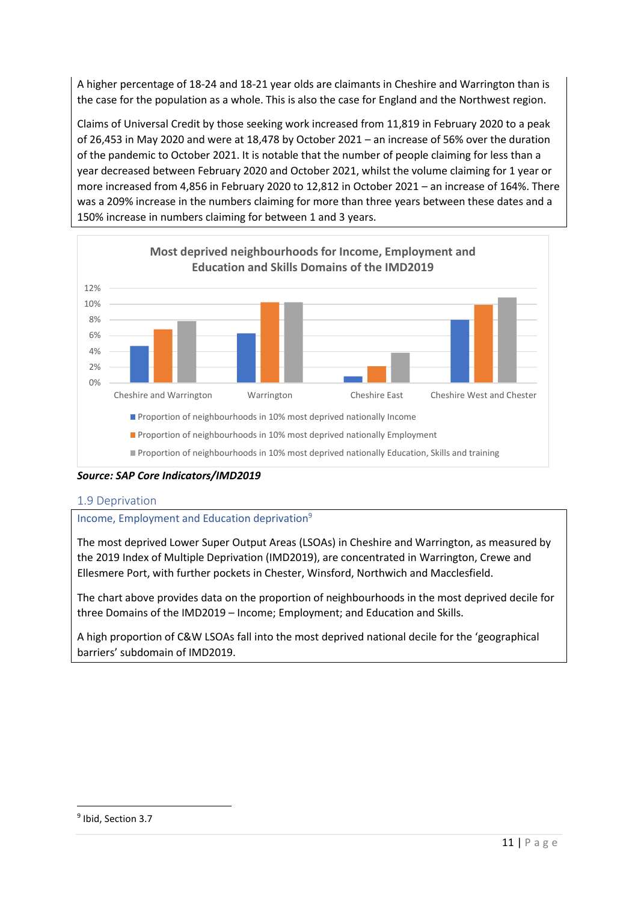A higher percentage of 18-24 and 18-21 year olds are claimants in Cheshire and Warrington than is the case for the population as a whole. This is also the case for England and the Northwest region.

Claims of Universal Credit by those seeking work increased from 11,819 in February 2020 to a peak of 26,453 in May 2020 and were at 18,478 by October 2021 – an increase of 56% over the duration of the pandemic to October 2021. It is notable that the number of people claiming for less than a year decreased between February 2020 and October 2021, whilst the volume claiming for 1 year or more increased from 4,856 in February 2020 to 12,812 in October 2021 – an increase of 164%. There was a 209% increase in the numbers claiming for more than three years between these dates and a 150% increase in numbers claiming for between 1 and 3 years.



*Source: SAP Core Indicators/IMD2019*

## 1.9 Deprivation

## Income, Employment and Education deprivation<sup>9</sup>

The most deprived Lower Super Output Areas (LSOAs) in Cheshire and Warrington, as measured by the 2019 Index of Multiple Deprivation (IMD2019), are concentrated in Warrington, Crewe and Ellesmere Port, with further pockets in Chester, Winsford, Northwich and Macclesfield.

The chart above provides data on the proportion of neighbourhoods in the most deprived decile for three Domains of the IMD2019 – Income; Employment; and Education and Skills.

A high proportion of C&W LSOAs fall into the most deprived national decile for the 'geographical barriers' subdomain of IMD2019.

<sup>&</sup>lt;sup>9</sup> Ibid, Section 3.7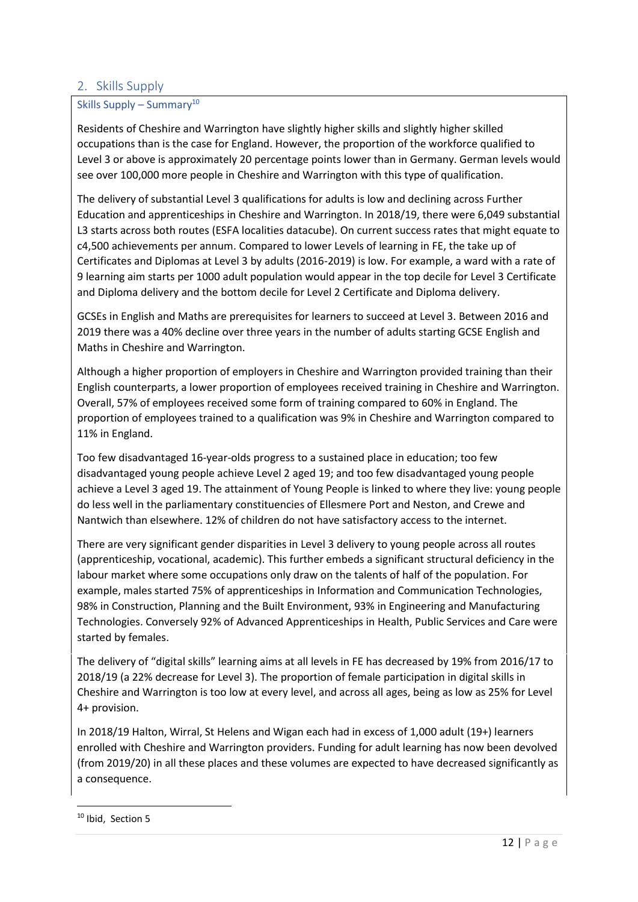# 2. Skills Supply

## Skills Supply – Summary<sup>10</sup>

Residents of Cheshire and Warrington have slightly higher skills and slightly higher skilled occupations than is the case for England. However, the proportion of the workforce qualified to Level 3 or above is approximately 20 percentage points lower than in Germany. German levels would see over 100,000 more people in Cheshire and Warrington with this type of qualification.

The delivery of substantial Level 3 qualifications for adults is low and declining across Further Education and apprenticeships in Cheshire and Warrington. In 2018/19, there were 6,049 substantial L3 starts across both routes (ESFA localities datacube). On current success rates that might equate to c4,500 achievements per annum. Compared to lower Levels of learning in FE, the take up of Certificates and Diplomas at Level 3 by adults (2016-2019) is low. For example, a ward with a rate of 9 learning aim starts per 1000 adult population would appear in the top decile for Level 3 Certificate and Diploma delivery and the bottom decile for Level 2 Certificate and Diploma delivery.

GCSEs in English and Maths are prerequisites for learners to succeed at Level 3. Between 2016 and 2019 there was a 40% decline over three years in the number of adults starting GCSE English and Maths in Cheshire and Warrington.

Although a higher proportion of employers in Cheshire and Warrington provided training than their English counterparts, a lower proportion of employees received training in Cheshire and Warrington. Overall, 57% of employees received some form of training compared to 60% in England. The proportion of employees trained to a qualification was 9% in Cheshire and Warrington compared to 11% in England.

Too few disadvantaged 16-year-olds progress to a sustained place in education; too few disadvantaged young people achieve Level 2 aged 19; and too few disadvantaged young people achieve a Level 3 aged 19. The attainment of Young People is linked to where they live: young people do less well in the parliamentary constituencies of Ellesmere Port and Neston, and Crewe and Nantwich than elsewhere. 12% of children do not have satisfactory access to the internet.

There are very significant gender disparities in Level 3 delivery to young people across all routes (apprenticeship, vocational, academic). This further embeds a significant structural deficiency in the labour market where some occupations only draw on the talents of half of the population. For example, males started 75% of apprenticeships in Information and Communication Technologies, 98% in Construction, Planning and the Built Environment, 93% in Engineering and Manufacturing Technologies. Conversely 92% of Advanced Apprenticeships in Health, Public Services and Care were started by females.

The delivery of "digital skills" learning aims at all levels in FE has decreased by 19% from 2016/17 to 2018/19 (a 22% decrease for Level 3). The proportion of female participation in digital skills in Cheshire and Warrington is too low at every level, and across all ages, being as low as 25% for Level 4+ provision.

In 2018/19 Halton, Wirral, St Helens and Wigan each had in excess of 1,000 adult (19+) learners enrolled with Cheshire and Warrington providers. Funding for adult learning has now been devolved (from 2019/20) in all these places and these volumes are expected to have decreased significantly as a consequence.

<sup>&</sup>lt;sup>10</sup> Ibid. Section 5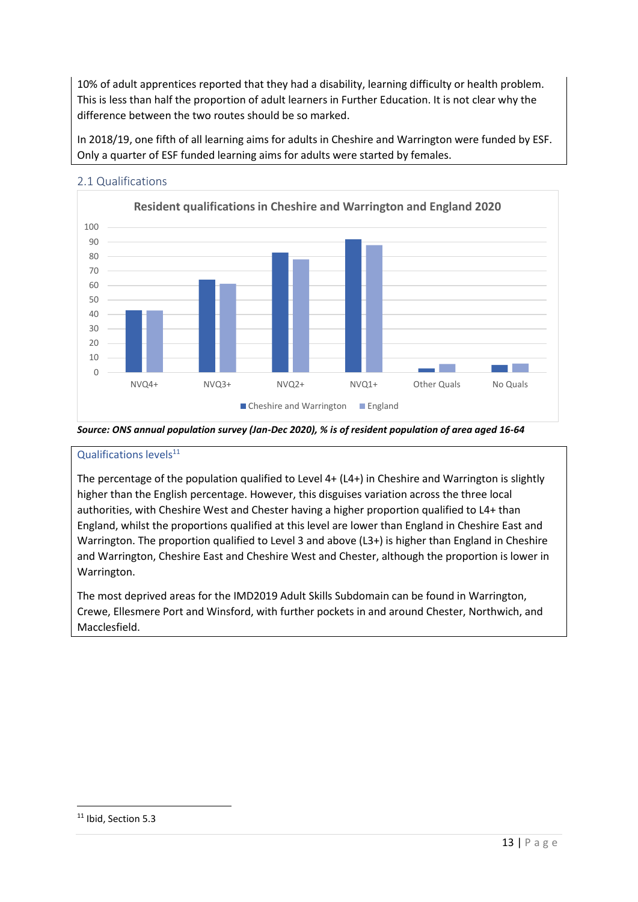10% of adult apprentices reported that they had a disability, learning difficulty or health problem. This is less than half the proportion of adult learners in Further Education. It is not clear why the difference between the two routes should be so marked.

In 2018/19, one fifth of all learning aims for adults in Cheshire and Warrington were funded by ESF. Only a quarter of ESF funded learning aims for adults were started by females.



## 2.1 Qualifications

*Source: ONS annual population survey (Jan-Dec 2020), % is of resident population of area aged 16-64*

## Qualifications levels $^{11}$

The percentage of the population qualified to Level 4+ (L4+) in Cheshire and Warrington is slightly higher than the English percentage. However, this disguises variation across the three local authorities, with Cheshire West and Chester having a higher proportion qualified to L4+ than England, whilst the proportions qualified at this level are lower than England in Cheshire East and Warrington. The proportion qualified to Level 3 and above (L3+) is higher than England in Cheshire and Warrington, Cheshire East and Cheshire West and Chester, although the proportion is lower in Warrington.

The most deprived areas for the IMD2019 Adult Skills Subdomain can be found in Warrington, Crewe, Ellesmere Port and Winsford, with further pockets in and around Chester, Northwich, and Macclesfield.

<sup>&</sup>lt;sup>11</sup> Ibid, Section 5.3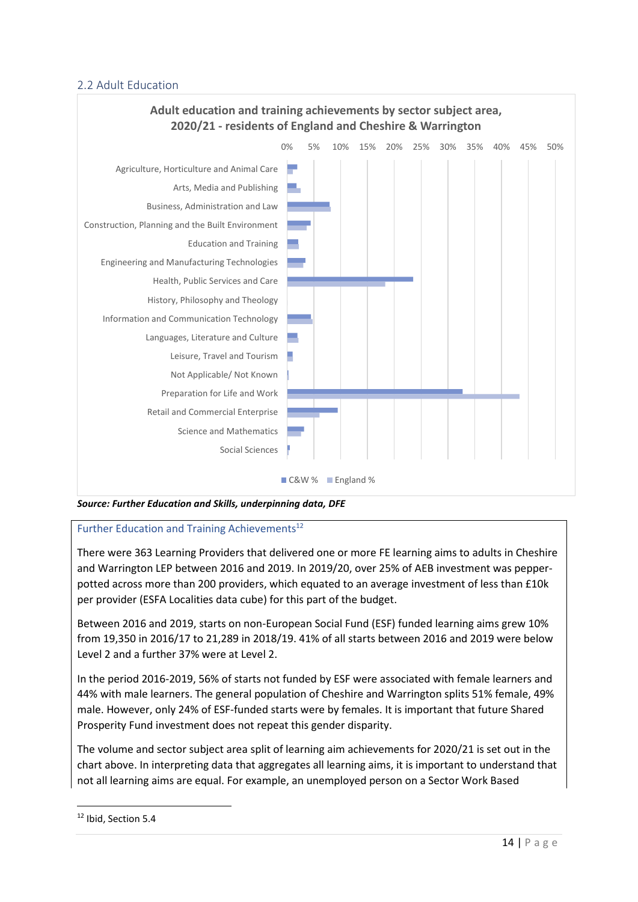## 2.2 Adult Education



#### *Source: Further Education and Skills, underpinning data, DFE*

## Further Education and Training Achievements<sup>12</sup>

There were 363 Learning Providers that delivered one or more FE learning aims to adults in Cheshire and Warrington LEP between 2016 and 2019. In 2019/20, over 25% of AEB investment was pepperpotted across more than 200 providers, which equated to an average investment of less than £10k per provider (ESFA Localities data cube) for this part of the budget.

Between 2016 and 2019, starts on non-European Social Fund (ESF) funded learning aims grew 10% from 19,350 in 2016/17 to 21,289 in 2018/19. 41% of all starts between 2016 and 2019 were below Level 2 and a further 37% were at Level 2.

In the period 2016-2019, 56% of starts not funded by ESF were associated with female learners and 44% with male learners. The general population of Cheshire and Warrington splits 51% female, 49% male. However, only 24% of ESF-funded starts were by females. It is important that future Shared Prosperity Fund investment does not repeat this gender disparity.

The volume and sector subject area split of learning aim achievements for 2020/21 is set out in the chart above. In interpreting data that aggregates all learning aims, it is important to understand that not all learning aims are equal. For example, an unemployed person on a Sector Work Based

<sup>&</sup>lt;sup>12</sup> Ibid, Section 5.4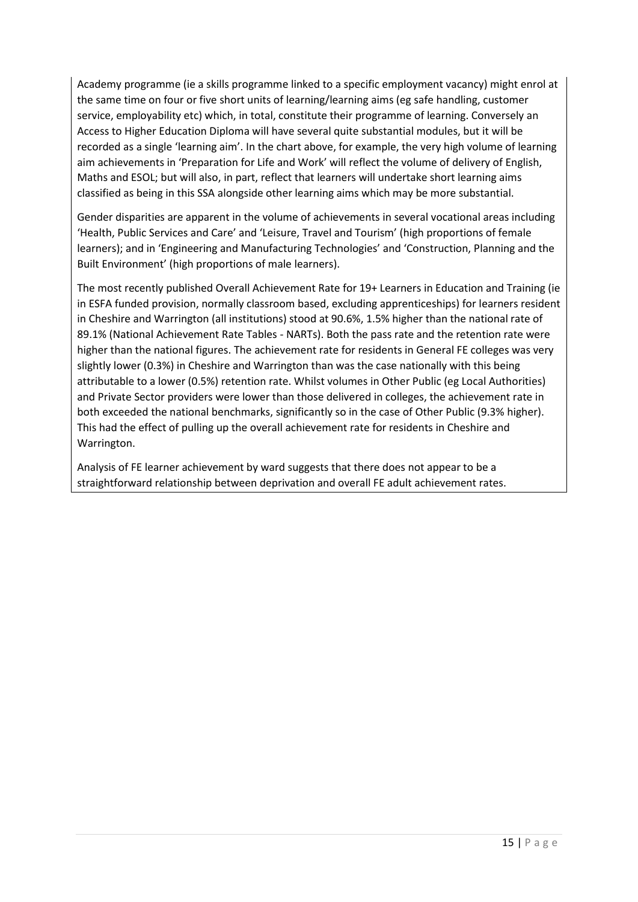Academy programme (ie a skills programme linked to a specific employment vacancy) might enrol at the same time on four or five short units of learning/learning aims (eg safe handling, customer service, employability etc) which, in total, constitute their programme of learning. Conversely an Access to Higher Education Diploma will have several quite substantial modules, but it will be recorded as a single 'learning aim'. In the chart above, for example, the very high volume of learning aim achievements in 'Preparation for Life and Work' will reflect the volume of delivery of English, Maths and ESOL; but will also, in part, reflect that learners will undertake short learning aims classified as being in this SSA alongside other learning aims which may be more substantial.

Gender disparities are apparent in the volume of achievements in several vocational areas including 'Health, Public Services and Care' and 'Leisure, Travel and Tourism' (high proportions of female learners); and in 'Engineering and Manufacturing Technologies' and 'Construction, Planning and the Built Environment' (high proportions of male learners).

The most recently published Overall Achievement Rate for 19+ Learners in Education and Training (ie in ESFA funded provision, normally classroom based, excluding apprenticeships) for learners resident in Cheshire and Warrington (all institutions) stood at 90.6%, 1.5% higher than the national rate of 89.1% (National Achievement Rate Tables - NARTs). Both the pass rate and the retention rate were higher than the national figures. The achievement rate for residents in General FE colleges was very slightly lower (0.3%) in Cheshire and Warrington than was the case nationally with this being attributable to a lower (0.5%) retention rate. Whilst volumes in Other Public (eg Local Authorities) and Private Sector providers were lower than those delivered in colleges, the achievement rate in both exceeded the national benchmarks, significantly so in the case of Other Public (9.3% higher). This had the effect of pulling up the overall achievement rate for residents in Cheshire and Warrington.

Analysis of FE learner achievement by ward suggests that there does not appear to be a straightforward relationship between deprivation and overall FE adult achievement rates.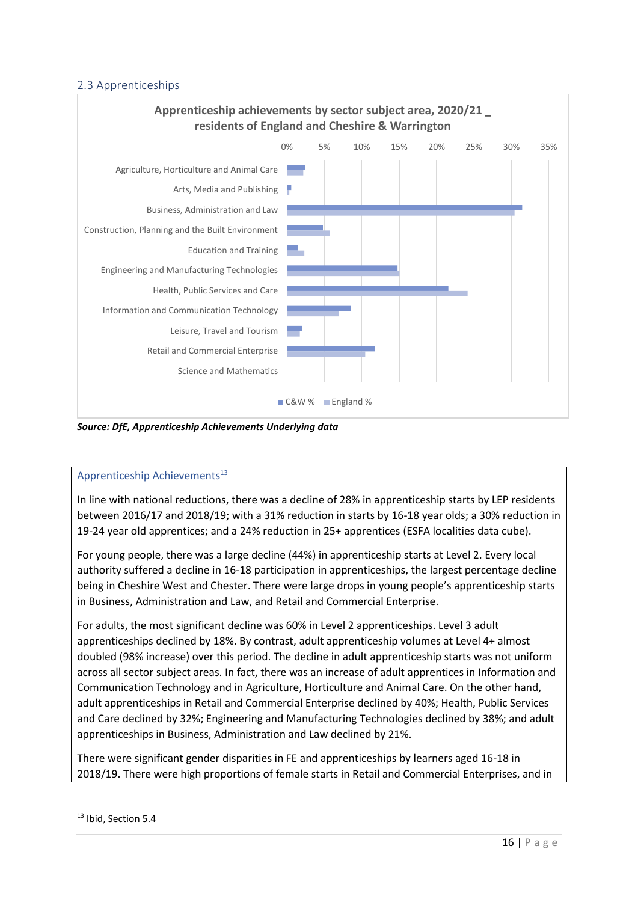# 2.3 Apprenticeships



*Source: DfE, Apprenticeship Achievements Underlying data*

## Apprenticeship Achievements<sup>13</sup>

In line with national reductions, there was a decline of 28% in apprenticeship starts by LEP residents between 2016/17 and 2018/19; with a 31% reduction in starts by 16-18 year olds; a 30% reduction in 19-24 year old apprentices; and a 24% reduction in 25+ apprentices (ESFA localities data cube).

For young people, there was a large decline (44%) in apprenticeship starts at Level 2. Every local authority suffered a decline in 16-18 participation in apprenticeships, the largest percentage decline being in Cheshire West and Chester. There were large drops in young people's apprenticeship starts in Business, Administration and Law, and Retail and Commercial Enterprise.

For adults, the most significant decline was 60% in Level 2 apprenticeships. Level 3 adult apprenticeships declined by 18%. By contrast, adult apprenticeship volumes at Level 4+ almost doubled (98% increase) over this period. The decline in adult apprenticeship starts was not uniform across all sector subject areas. In fact, there was an increase of adult apprentices in Information and Communication Technology and in Agriculture, Horticulture and Animal Care. On the other hand, adult apprenticeships in Retail and Commercial Enterprise declined by 40%; Health, Public Services and Care declined by 32%; Engineering and Manufacturing Technologies declined by 38%; and adult apprenticeships in Business, Administration and Law declined by 21%.

There were significant gender disparities in FE and apprenticeships by learners aged 16-18 in 2018/19. There were high proportions of female starts in Retail and Commercial Enterprises, and in

<sup>&</sup>lt;sup>13</sup> Ibid, Section 5.4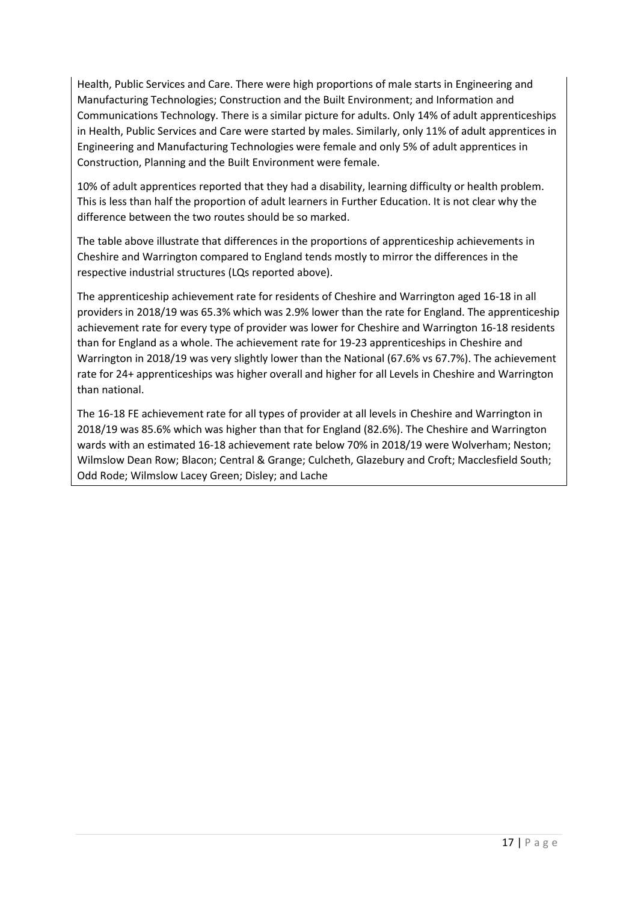Health, Public Services and Care. There were high proportions of male starts in Engineering and Manufacturing Technologies; Construction and the Built Environment; and Information and Communications Technology. There is a similar picture for adults. Only 14% of adult apprenticeships in Health, Public Services and Care were started by males. Similarly, only 11% of adult apprentices in Engineering and Manufacturing Technologies were female and only 5% of adult apprentices in Construction, Planning and the Built Environment were female.

10% of adult apprentices reported that they had a disability, learning difficulty or health problem. This is less than half the proportion of adult learners in Further Education. It is not clear why the difference between the two routes should be so marked.

The table above illustrate that differences in the proportions of apprenticeship achievements in Cheshire and Warrington compared to England tends mostly to mirror the differences in the respective industrial structures (LQs reported above).

The apprenticeship achievement rate for residents of Cheshire and Warrington aged 16-18 in all providers in 2018/19 was 65.3% which was 2.9% lower than the rate for England. The apprenticeship achievement rate for every type of provider was lower for Cheshire and Warrington 16-18 residents than for England as a whole. The achievement rate for 19-23 apprenticeships in Cheshire and Warrington in 2018/19 was very slightly lower than the National (67.6% vs 67.7%). The achievement rate for 24+ apprenticeships was higher overall and higher for all Levels in Cheshire and Warrington than national.

The 16-18 FE achievement rate for all types of provider at all levels in Cheshire and Warrington in 2018/19 was 85.6% which was higher than that for England (82.6%). The Cheshire and Warrington wards with an estimated 16-18 achievement rate below 70% in 2018/19 were Wolverham; Neston; Wilmslow Dean Row; Blacon; Central & Grange; Culcheth, Glazebury and Croft; Macclesfield South; Odd Rode; Wilmslow Lacey Green; Disley; and Lache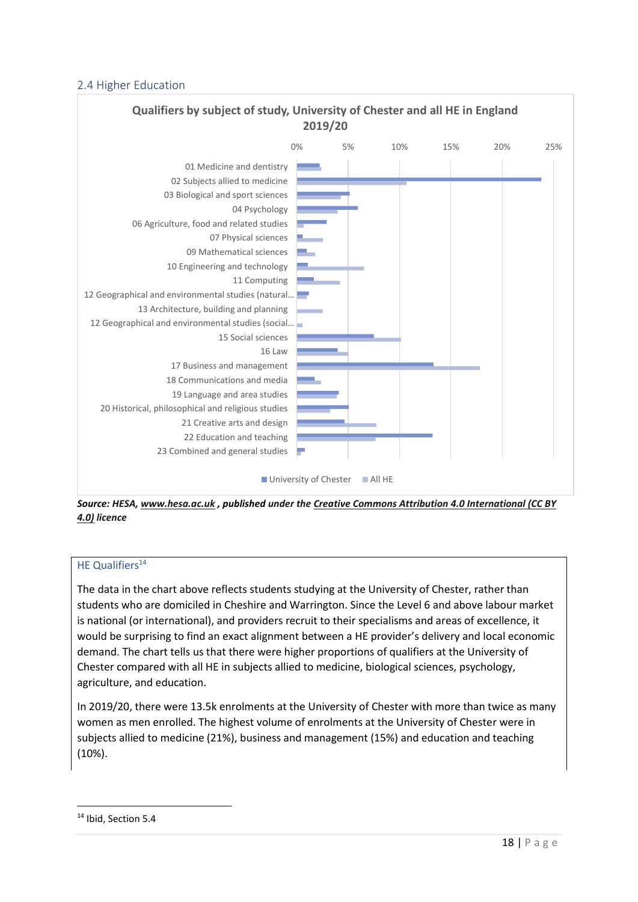## 2.4 Higher Education



*Source: HESA, [www.hesa.ac.uk](http://www.hesa.ac.uk/) , published under the [Creative Commons Attribution 4.0 International \(CC BY](https://creativecommons.org/licenses/by/4.0/)  [4.0\)](https://creativecommons.org/licenses/by/4.0/) licence*

## HE Qualifiers<sup>14</sup>

The data in the chart above reflects students studying at the University of Chester, rather than students who are domiciled in Cheshire and Warrington. Since the Level 6 and above labour market is national (or international), and providers recruit to their specialisms and areas of excellence, it would be surprising to find an exact alignment between a HE provider's delivery and local economic demand. The chart tells us that there were higher proportions of qualifiers at the University of Chester compared with all HE in subjects allied to medicine, biological sciences, psychology, agriculture, and education.

In 2019/20, there were 13.5k enrolments at the University of Chester with more than twice as many women as men enrolled. The highest volume of enrolments at the University of Chester were in subjects allied to medicine (21%), business and management (15%) and education and teaching (10%).

<sup>&</sup>lt;sup>14</sup> Ibid, Section 5.4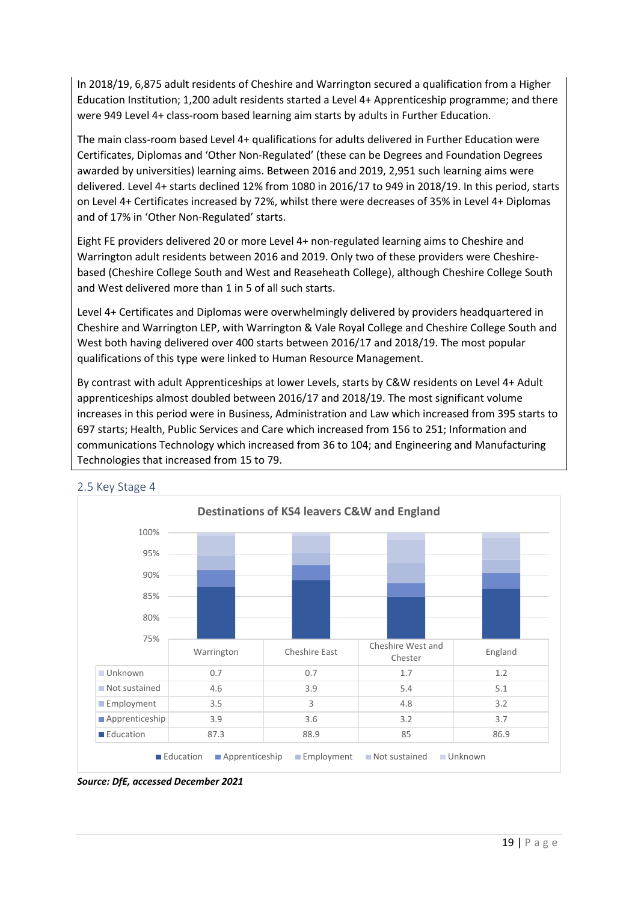In 2018/19, 6,875 adult residents of Cheshire and Warrington secured a qualification from a Higher Education Institution; 1,200 adult residents started a Level 4+ Apprenticeship programme; and there were 949 Level 4+ class-room based learning aim starts by adults in Further Education.

The main class-room based Level 4+ qualifications for adults delivered in Further Education were Certificates, Diplomas and 'Other Non-Regulated' (these can be Degrees and Foundation Degrees awarded by universities) learning aims. Between 2016 and 2019, 2,951 such learning aims were delivered. Level 4+ starts declined 12% from 1080 in 2016/17 to 949 in 2018/19. In this period, starts on Level 4+ Certificates increased by 72%, whilst there were decreases of 35% in Level 4+ Diplomas and of 17% in 'Other Non-Regulated' starts.

Eight FE providers delivered 20 or more Level 4+ non-regulated learning aims to Cheshire and Warrington adult residents between 2016 and 2019. Only two of these providers were Cheshirebased (Cheshire College South and West and Reaseheath College), although Cheshire College South and West delivered more than 1 in 5 of all such starts.

Level 4+ Certificates and Diplomas were overwhelmingly delivered by providers headquartered in Cheshire and Warrington LEP, with Warrington & Vale Royal College and Cheshire College South and West both having delivered over 400 starts between 2016/17 and 2018/19. The most popular qualifications of this type were linked to Human Resource Management.

By contrast with adult Apprenticeships at lower Levels, starts by C&W residents on Level 4+ Adult apprenticeships almost doubled between 2016/17 and 2018/19. The most significant volume increases in this period were in Business, Administration and Law which increased from 395 starts to 697 starts; Health, Public Services and Care which increased from 156 to 251; Information and communications Technology which increased from 36 to 104; and Engineering and Manufacturing Technologies that increased from 15 to 79.



# 2.5 Key Stage 4

*Source: DfE, accessed December 2021*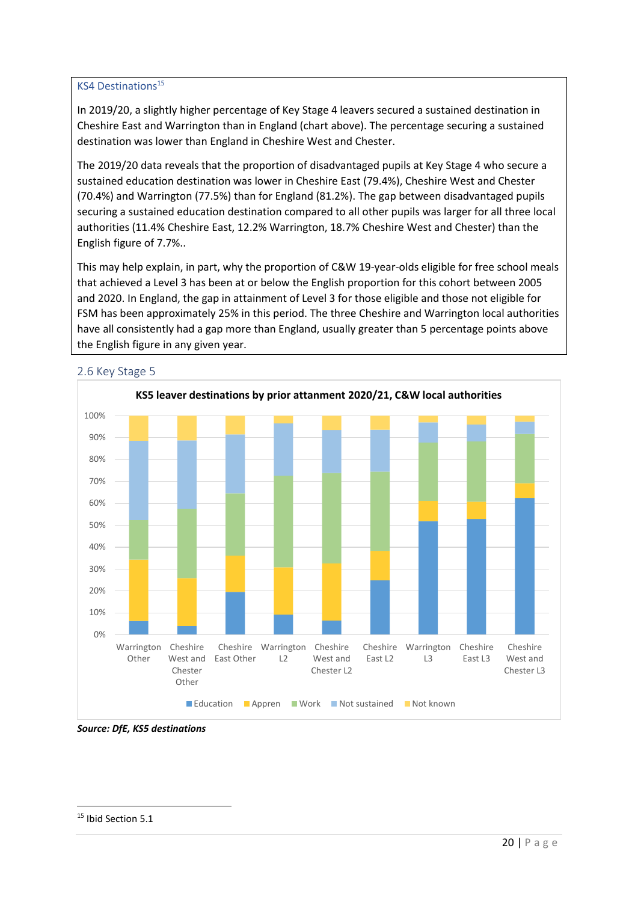## KS4 Destinations<sup>15</sup>

In 2019/20, a slightly higher percentage of Key Stage 4 leavers secured a sustained destination in Cheshire East and Warrington than in England (chart above). The percentage securing a sustained destination was lower than England in Cheshire West and Chester.

The 2019/20 data reveals that the proportion of disadvantaged pupils at Key Stage 4 who secure a sustained education destination was lower in Cheshire East (79.4%), Cheshire West and Chester (70.4%) and Warrington (77.5%) than for England (81.2%). The gap between disadvantaged pupils securing a sustained education destination compared to all other pupils was larger for all three local authorities (11.4% Cheshire East, 12.2% Warrington, 18.7% Cheshire West and Chester) than the English figure of 7.7%..

This may help explain, in part, why the proportion of C&W 19-year-olds eligible for free school meals that achieved a Level 3 has been at or below the English proportion for this cohort between 2005 and 2020. In England, the gap in attainment of Level 3 for those eligible and those not eligible for FSM has been approximately 25% in this period. The three Cheshire and Warrington local authorities have all consistently had a gap more than England, usually greater than 5 percentage points above the English figure in any given year.



## 2.6 Key Stage 5

*Source: DfE, KS5 destinations*

<sup>15</sup> Ibid Section 5.1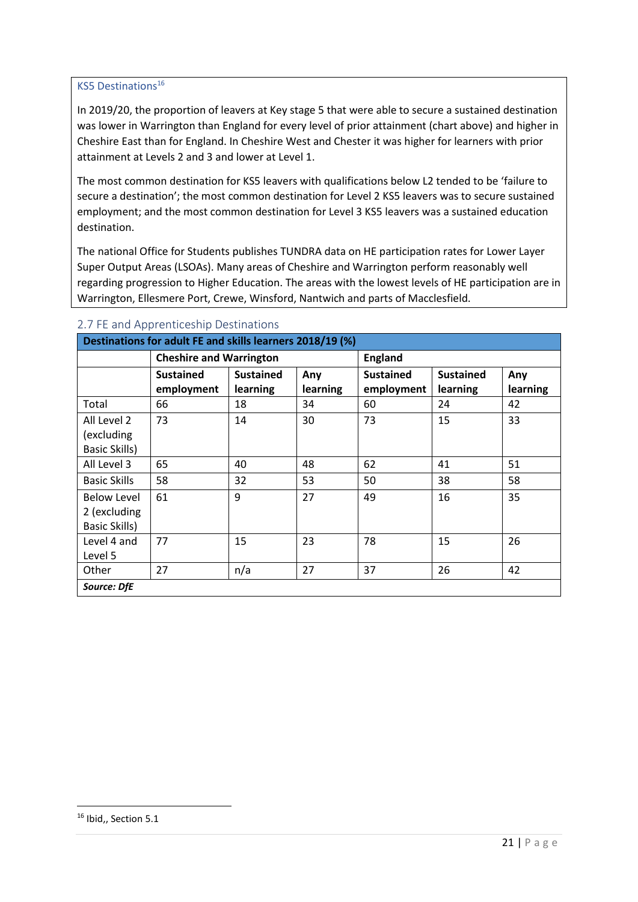## KS5 Destinations<sup>16</sup>

In 2019/20, the proportion of leavers at Key stage 5 that were able to secure a sustained destination was lower in Warrington than England for every level of prior attainment (chart above) and higher in Cheshire East than for England. In Cheshire West and Chester it was higher for learners with prior attainment at Levels 2 and 3 and lower at Level 1.

The most common destination for KS5 leavers with qualifications below L2 tended to be 'failure to secure a destination'; the most common destination for Level 2 KS5 leavers was to secure sustained employment; and the most common destination for Level 3 KS5 leavers was a sustained education destination.

The national Office for Students publishes TUNDRA data on HE participation rates for Lower Layer Super Output Areas (LSOAs). Many areas of Cheshire and Warrington perform reasonably well regarding progression to Higher Education. The areas with the lowest levels of HE participation are in Warrington, Ellesmere Port, Crewe, Winsford, Nantwich and parts of Macclesfield.

| Destinations for adult FE and skills learners 2018/19 (%) |                                |                  |          |                  |                  |          |  |
|-----------------------------------------------------------|--------------------------------|------------------|----------|------------------|------------------|----------|--|
|                                                           | <b>Cheshire and Warrington</b> |                  |          | <b>England</b>   |                  |          |  |
|                                                           | <b>Sustained</b>               | <b>Sustained</b> | Any      | <b>Sustained</b> | <b>Sustained</b> | Any      |  |
|                                                           | employment                     | learning         | learning | employment       | learning         | learning |  |
| Total                                                     | 66                             | 18               | 34       | 60               | 24               | 42       |  |
| All Level 2                                               | 73                             | 14               | 30       | 73               | 15               | 33       |  |
| (excluding                                                |                                |                  |          |                  |                  |          |  |
| Basic Skills)                                             |                                |                  |          |                  |                  |          |  |
| All Level 3                                               | 65                             | 40               | 48       | 62               | 41               | 51       |  |
| <b>Basic Skills</b>                                       | 58                             | 32               | 53       | 50               | 38               | 58       |  |
| <b>Below Level</b>                                        | 61                             | 9                | 27       | 49               | 16               | 35       |  |
| 2 (excluding                                              |                                |                  |          |                  |                  |          |  |
| <b>Basic Skills)</b>                                      |                                |                  |          |                  |                  |          |  |
| Level 4 and                                               | 77                             | 15               | 23       | 78               | 15               | 26       |  |
| Level 5                                                   |                                |                  |          |                  |                  |          |  |
| Other                                                     | 27                             | n/a              | 27       | 37               | 26               | 42       |  |
| Source: DfE                                               |                                |                  |          |                  |                  |          |  |

#### 2.7 FE and Apprenticeship Destinations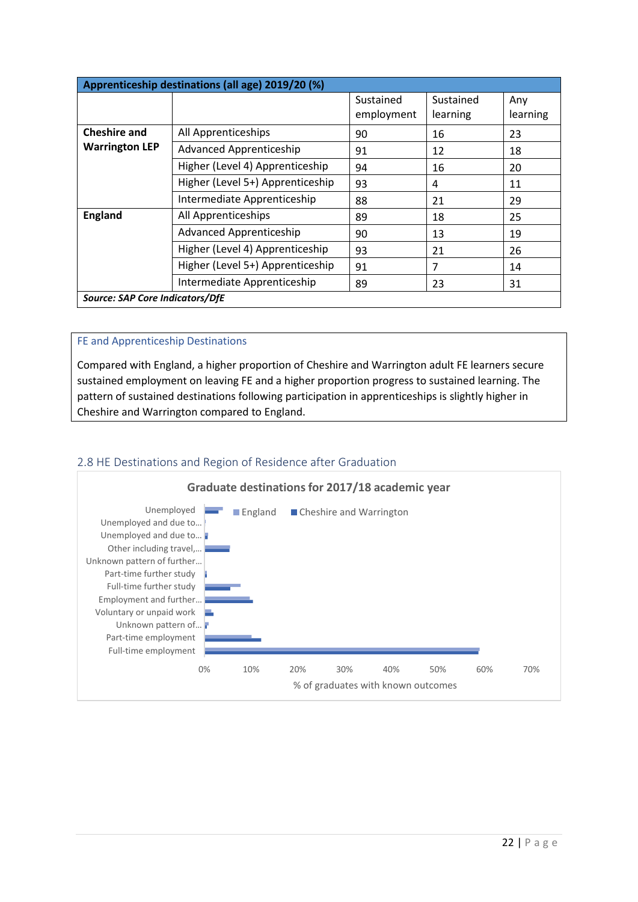| Apprenticeship destinations (all age) 2019/20 (%) |                                  |                         |                       |                 |  |  |
|---------------------------------------------------|----------------------------------|-------------------------|-----------------------|-----------------|--|--|
|                                                   |                                  | Sustained<br>employment | Sustained<br>learning | Any<br>learning |  |  |
| <b>Cheshire and</b>                               | All Apprenticeships              | 90                      | 16                    | 23              |  |  |
| <b>Warrington LEP</b>                             | <b>Advanced Apprenticeship</b>   | 91                      | 12                    | 18              |  |  |
|                                                   | Higher (Level 4) Apprenticeship  | 94                      | 16                    | 20              |  |  |
| Higher (Level 5+) Apprenticeship                  |                                  | 93                      | 4                     | 11              |  |  |
|                                                   | Intermediate Apprenticeship      | 88                      | 21                    | 29              |  |  |
| <b>England</b>                                    | All Apprenticeships              | 89                      | 18                    | 25              |  |  |
|                                                   | <b>Advanced Apprenticeship</b>   | 90                      | 13                    | 19              |  |  |
|                                                   | Higher (Level 4) Apprenticeship  | 93                      | 21                    | 26              |  |  |
|                                                   | Higher (Level 5+) Apprenticeship | 91                      | 7                     | 14              |  |  |
|                                                   | Intermediate Apprenticeship      | 89                      | 23                    | 31              |  |  |
| Source: SAP Core Indicators/DfE                   |                                  |                         |                       |                 |  |  |

## FE and Apprenticeship Destinations

Compared with England, a higher proportion of Cheshire and Warrington adult FE learners secure sustained employment on leaving FE and a higher proportion progress to sustained learning. The pattern of sustained destinations following participation in apprenticeships is slightly higher in Cheshire and Warrington compared to England.



# 2.8 HE Destinations and Region of Residence after Graduation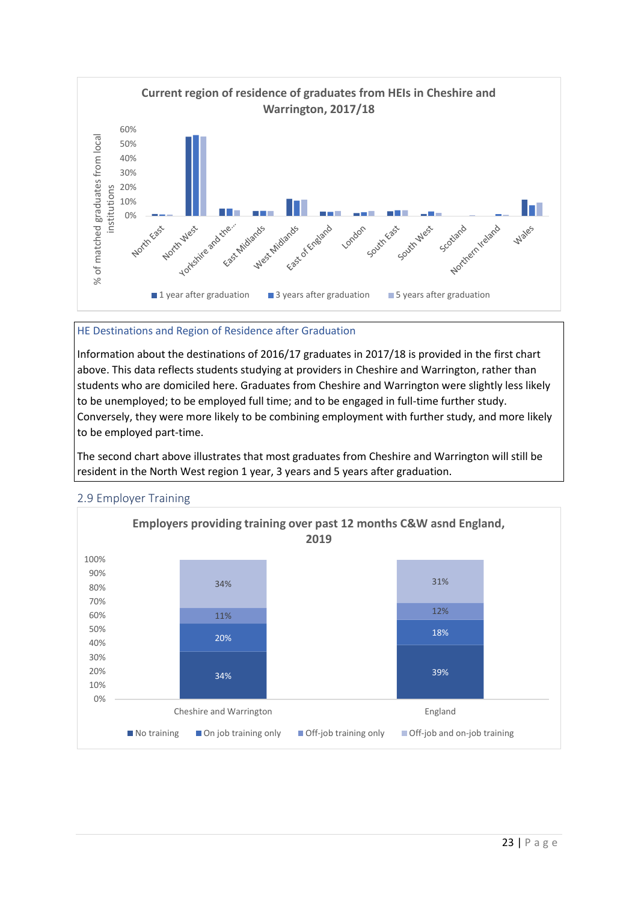

## HE Destinations and Region of Residence after Graduation

Information about the destinations of 2016/17 graduates in 2017/18 is provided in the first chart above. This data reflects students studying at providers in Cheshire and Warrington, rather than students who are domiciled here. Graduates from Cheshire and Warrington were slightly less likely to be unemployed; to be employed full time; and to be engaged in full-time further study. Conversely, they were more likely to be combining employment with further study, and more likely to be employed part-time.

The second chart above illustrates that most graduates from Cheshire and Warrington will still be resident in the North West region 1 year, 3 years and 5 years after graduation.



#### 2.9 Employer Training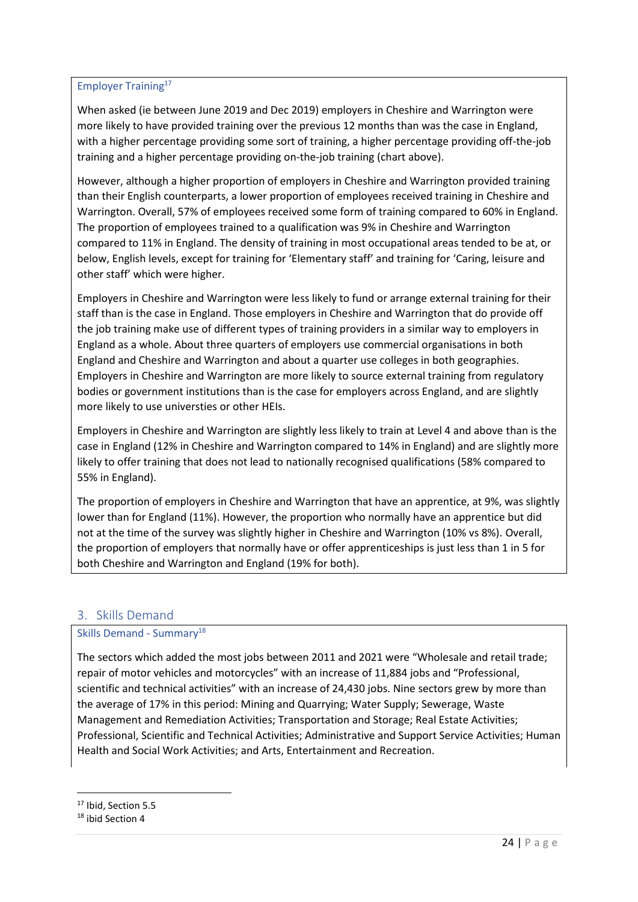## Employer Training<sup>17</sup>

When asked (ie between June 2019 and Dec 2019) employers in Cheshire and Warrington were more likely to have provided training over the previous 12 months than was the case in England, with a higher percentage providing some sort of training, a higher percentage providing off-the-job training and a higher percentage providing on-the-job training (chart above).

However, although a higher proportion of employers in Cheshire and Warrington provided training than their English counterparts, a lower proportion of employees received training in Cheshire and Warrington. Overall, 57% of employees received some form of training compared to 60% in England. The proportion of employees trained to a qualification was 9% in Cheshire and Warrington compared to 11% in England. The density of training in most occupational areas tended to be at, or below, English levels, except for training for 'Elementary staff' and training for 'Caring, leisure and other staff' which were higher.

Employers in Cheshire and Warrington were less likely to fund or arrange external training for their staff than is the case in England. Those employers in Cheshire and Warrington that do provide off the job training make use of different types of training providers in a similar way to employers in England as a whole. About three quarters of employers use commercial organisations in both England and Cheshire and Warrington and about a quarter use colleges in both geographies. Employers in Cheshire and Warrington are more likely to source external training from regulatory bodies or government institutions than is the case for employers across England, and are slightly more likely to use universties or other HEIs.

Employers in Cheshire and Warrington are slightly less likely to train at Level 4 and above than is the case in England (12% in Cheshire and Warrington compared to 14% in England) and are slightly more likely to offer training that does not lead to nationally recognised qualifications (58% compared to 55% in England).

The proportion of employers in Cheshire and Warrington that have an apprentice, at 9%, was slightly lower than for England (11%). However, the proportion who normally have an apprentice but did not at the time of the survey was slightly higher in Cheshire and Warrington (10% vs 8%). Overall, the proportion of employers that normally have or offer apprenticeships is just less than 1 in 5 for both Cheshire and Warrington and England (19% for both).

# 3. Skills Demand

## Skills Demand - Summary<sup>18</sup>

The sectors which added the most jobs between 2011 and 2021 were "Wholesale and retail trade; repair of motor vehicles and motorcycles" with an increase of 11,884 jobs and "Professional, scientific and technical activities" with an increase of 24,430 jobs. Nine sectors grew by more than the average of 17% in this period: Mining and Quarrying; Water Supply; Sewerage, Waste Management and Remediation Activities; Transportation and Storage; Real Estate Activities; Professional, Scientific and Technical Activities; Administrative and Support Service Activities; Human Health and Social Work Activities; and Arts, Entertainment and Recreation.

<sup>&</sup>lt;sup>17</sup> Ibid, Section 5.5

<sup>18</sup> ibid Section 4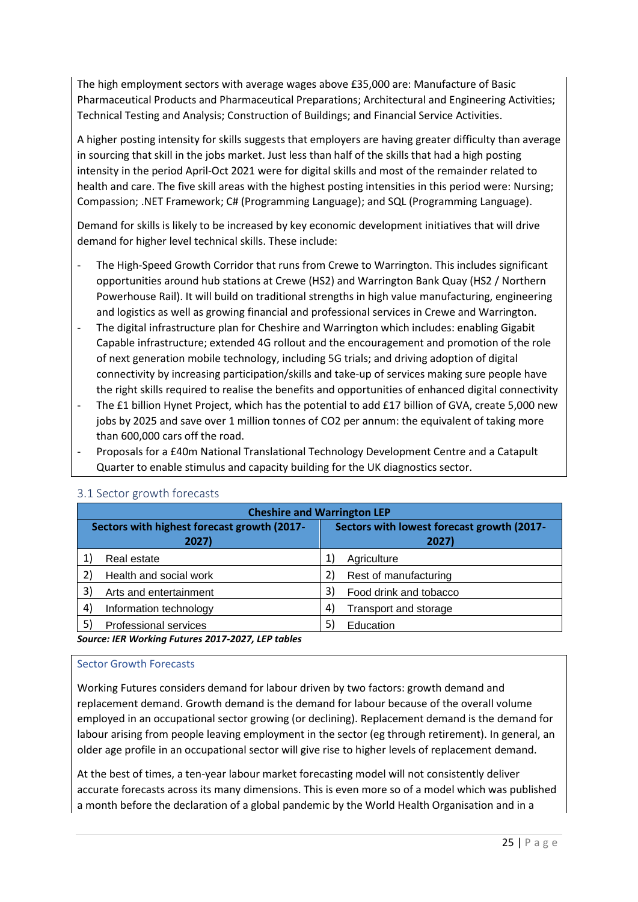The high employment sectors with average wages above £35,000 are: Manufacture of Basic Pharmaceutical Products and Pharmaceutical Preparations; Architectural and Engineering Activities; Technical Testing and Analysis; Construction of Buildings; and Financial Service Activities.

A higher posting intensity for skills suggests that employers are having greater difficulty than average in sourcing that skill in the jobs market. Just less than half of the skills that had a high posting intensity in the period April-Oct 2021 were for digital skills and most of the remainder related to health and care. The five skill areas with the highest posting intensities in this period were: Nursing; Compassion; .NET Framework; C# (Programming Language); and SQL (Programming Language).

Demand for skills is likely to be increased by key economic development initiatives that will drive demand for higher level technical skills. These include:

- The High-Speed Growth Corridor that runs from Crewe to Warrington. This includes significant opportunities around hub stations at Crewe (HS2) and Warrington Bank Quay (HS2 / Northern Powerhouse Rail). It will build on traditional strengths in high value manufacturing, engineering and logistics as well as growing financial and professional services in Crewe and Warrington.
- The digital infrastructure plan for Cheshire and Warrington which includes: enabling Gigabit Capable infrastructure; extended 4G rollout and the encouragement and promotion of the role of next generation mobile technology, including 5G trials; and driving adoption of digital connectivity by increasing participation/skills and take-up of services making sure people have the right skills required to realise the benefits and opportunities of enhanced digital connectivity
- The £1 billion Hynet Project, which has the potential to add £17 billion of GVA, create 5,000 new jobs by 2025 and save over 1 million tonnes of CO2 per annum: the equivalent of taking more than 600,000 cars off the road.
- Proposals for a £40m National Translational Technology Development Centre and a Catapult Quarter to enable stimulus and capacity building for the UK diagnostics sector.

| <b>Cheshire and Warrington LEP</b>               |                              |                   |                                            |  |  |  |
|--------------------------------------------------|------------------------------|-------------------|--------------------------------------------|--|--|--|
| Sectors with highest forecast growth (2017-      |                              |                   | Sectors with lowest forecast growth (2017- |  |  |  |
|                                                  | 2027)                        |                   | 2027)                                      |  |  |  |
|                                                  | Real estate                  |                   | Agriculture                                |  |  |  |
|                                                  | Health and social work       | 2)                | Rest of manufacturing                      |  |  |  |
| 3)                                               | Arts and entertainment       | 3)                | Food drink and tobacco                     |  |  |  |
| 4)                                               | Information technology       | $\left( 4\right)$ | Transport and storage                      |  |  |  |
| 5)                                               | <b>Professional services</b> | 5)                | Education                                  |  |  |  |
| Source: IED Warking Eutures 2017 2027 IED tables |                              |                   |                                            |  |  |  |

## 3.1 Sector growth forecasts

*Source: IER Working Futures 2017-2027, LEP tables*

#### Sector Growth Forecasts

Working Futures considers demand for labour driven by two factors: growth demand and replacement demand. Growth demand is the demand for labour because of the overall volume employed in an occupational sector growing (or declining). Replacement demand is the demand for labour arising from people leaving employment in the sector (eg through retirement). In general, an older age profile in an occupational sector will give rise to higher levels of replacement demand.

At the best of times, a ten-year labour market forecasting model will not consistently deliver accurate forecasts across its many dimensions. This is even more so of a model which was published a month before the declaration of a global pandemic by the World Health Organisation and in a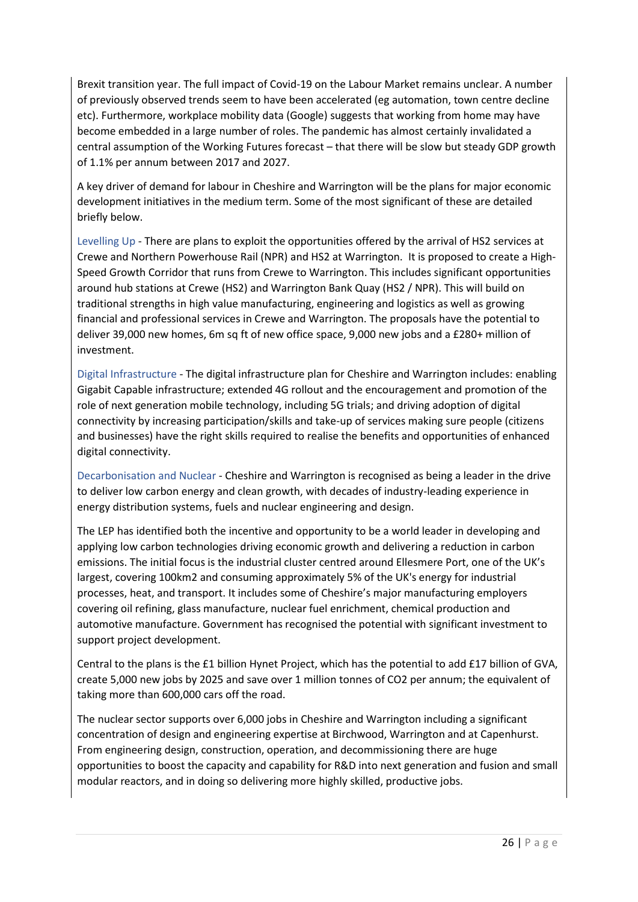Brexit transition year. The full impact of Covid-19 on the Labour Market remains unclear. A number of previously observed trends seem to have been accelerated (eg automation, town centre decline etc). Furthermore, workplace mobility data (Google) suggests that working from home may have become embedded in a large number of roles. The pandemic has almost certainly invalidated a central assumption of the Working Futures forecast – that there will be slow but steady GDP growth of 1.1% per annum between 2017 and 2027.

A key driver of demand for labour in Cheshire and Warrington will be the plans for major economic development initiatives in the medium term. Some of the most significant of these are detailed briefly below.

Levelling Up - There are plans to exploit the opportunities offered by the arrival of HS2 services at Crewe and Northern Powerhouse Rail (NPR) and HS2 at Warrington. It is proposed to create a High-Speed Growth Corridor that runs from Crewe to Warrington. This includes significant opportunities around hub stations at Crewe (HS2) and Warrington Bank Quay (HS2 / NPR). This will build on traditional strengths in high value manufacturing, engineering and logistics as well as growing financial and professional services in Crewe and Warrington. The proposals have the potential to deliver 39,000 new homes, 6m sq ft of new office space, 9,000 new jobs and a £280+ million of investment.

Digital Infrastructure - The digital infrastructure plan for Cheshire and Warrington includes: enabling Gigabit Capable infrastructure; extended 4G rollout and the encouragement and promotion of the role of next generation mobile technology, including 5G trials; and driving adoption of digital connectivity by increasing participation/skills and take-up of services making sure people (citizens and businesses) have the right skills required to realise the benefits and opportunities of enhanced digital connectivity.

Decarbonisation and Nuclear - Cheshire and Warrington is recognised as being a leader in the drive to deliver low carbon energy and clean growth, with decades of industry-leading experience in energy distribution systems, fuels and nuclear engineering and design.

The LEP has identified both the incentive and opportunity to be a world leader in developing and applying low carbon technologies driving economic growth and delivering a reduction in carbon emissions. The initial focus is the industrial cluster centred around Ellesmere Port, one of the UK's largest, covering 100km2 and consuming approximately 5% of the UK's energy for industrial processes, heat, and transport. It includes some of Cheshire's major manufacturing employers covering oil refining, glass manufacture, nuclear fuel enrichment, chemical production and automotive manufacture. Government has recognised the potential with significant investment to support project development.

Central to the plans is the £1 billion Hynet Project, which has the potential to add £17 billion of GVA, create 5,000 new jobs by 2025 and save over 1 million tonnes of CO2 per annum; the equivalent of taking more than 600,000 cars off the road.

The nuclear sector supports over 6,000 jobs in Cheshire and Warrington including a significant concentration of design and engineering expertise at Birchwood, Warrington and at Capenhurst. From engineering design, construction, operation, and decommissioning there are huge opportunities to boost the capacity and capability for R&D into next generation and fusion and small modular reactors, and in doing so delivering more highly skilled, productive jobs.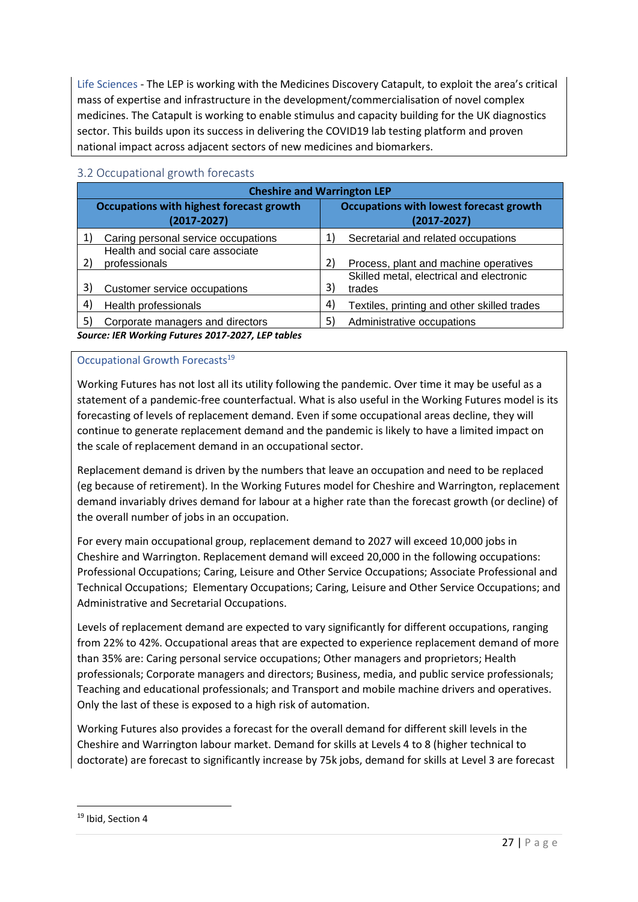Life Sciences - The LEP is working with the Medicines Discovery Catapult, to exploit the area's critical mass of expertise and infrastructure in the development/commercialisation of novel complex medicines. The Catapult is working to enable stimulus and capacity building for the UK diagnostics sector. This builds upon its success in delivering the COVID19 lab testing platform and proven national impact across adjacent sectors of new medicines and biomarkers.

| <b>Cheshire and Warrington LEP</b>                                 |                                                   |                                                                   |                                                    |  |  |  |
|--------------------------------------------------------------------|---------------------------------------------------|-------------------------------------------------------------------|----------------------------------------------------|--|--|--|
| <b>Occupations with highest forecast growth</b><br>$(2017 - 2027)$ |                                                   | <b>Occupations with lowest forecast growth</b><br>$(2017 - 2027)$ |                                                    |  |  |  |
|                                                                    | Caring personal service occupations               |                                                                   | Secretarial and related occupations                |  |  |  |
| 2)                                                                 | Health and social care associate<br>professionals | 2)                                                                | Process, plant and machine operatives              |  |  |  |
| 3)                                                                 | Customer service occupations                      | 3)                                                                | Skilled metal, electrical and electronic<br>trades |  |  |  |
| 4)                                                                 | Health professionals                              | 4                                                                 | Textiles, printing and other skilled trades        |  |  |  |
| 5)                                                                 | Corporate managers and directors                  | 51                                                                | Administrative occupations                         |  |  |  |
|                                                                    | Source: IER Working Futures 2017-2027, LEP tables |                                                                   |                                                    |  |  |  |

#### 3.2 Occupational growth forecasts

Occupational Growth Forecasts<sup>19</sup>

Working Futures has not lost all its utility following the pandemic. Over time it may be useful as a statement of a pandemic-free counterfactual. What is also useful in the Working Futures model is its forecasting of levels of replacement demand. Even if some occupational areas decline, they will continue to generate replacement demand and the pandemic is likely to have a limited impact on the scale of replacement demand in an occupational sector.

Replacement demand is driven by the numbers that leave an occupation and need to be replaced (eg because of retirement). In the Working Futures model for Cheshire and Warrington, replacement demand invariably drives demand for labour at a higher rate than the forecast growth (or decline) of the overall number of jobs in an occupation.

For every main occupational group, replacement demand to 2027 will exceed 10,000 jobs in Cheshire and Warrington. Replacement demand will exceed 20,000 in the following occupations: Professional Occupations; Caring, Leisure and Other Service Occupations; Associate Professional and Technical Occupations; Elementary Occupations; Caring, Leisure and Other Service Occupations; and Administrative and Secretarial Occupations.

Levels of replacement demand are expected to vary significantly for different occupations, ranging from 22% to 42%. Occupational areas that are expected to experience replacement demand of more than 35% are: Caring personal service occupations; Other managers and proprietors; Health professionals; Corporate managers and directors; Business, media, and public service professionals; Teaching and educational professionals; and Transport and mobile machine drivers and operatives. Only the last of these is exposed to a high risk of automation.

Working Futures also provides a forecast for the overall demand for different skill levels in the Cheshire and Warrington labour market. Demand for skills at Levels 4 to 8 (higher technical to doctorate) are forecast to significantly increase by 75k jobs, demand for skills at Level 3 are forecast

<sup>&</sup>lt;sup>19</sup> Ibid, Section 4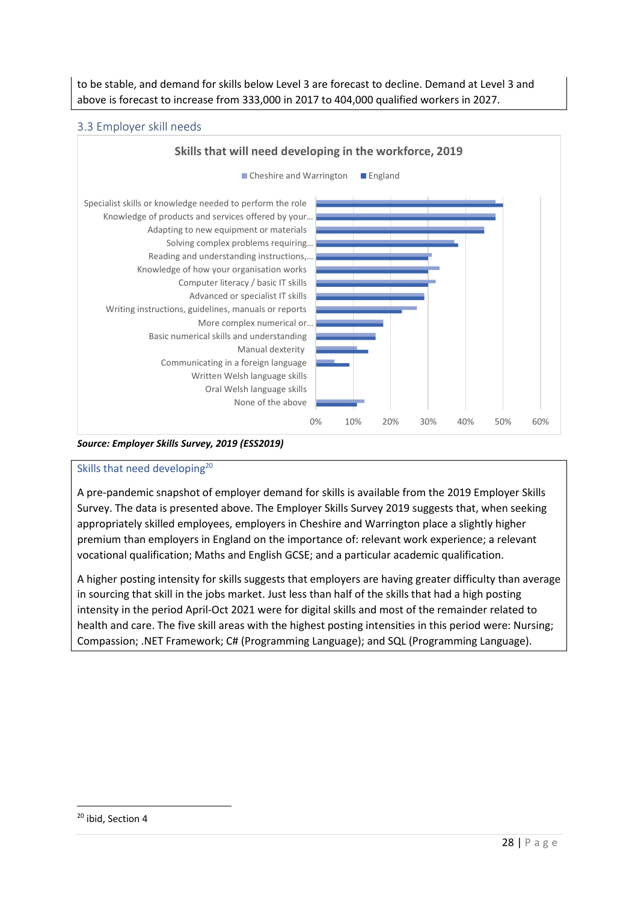to be stable, and demand for skills below Level 3 are forecast to decline. Demand at Level 3 and above is forecast to increase from 333,000 in 2017 to 404,000 qualified workers in 2027.

## 3.3 Employer skill needs



*Source: Employer Skills Survey, 2019 (ESS2019)*

## Skills that need developing<sup>20</sup>

A pre-pandemic snapshot of employer demand for skills is available from the 2019 Employer Skills Survey. The data is presented above. The Employer Skills Survey 2019 suggests that, when seeking appropriately skilled employees, employers in Cheshire and Warrington place a slightly higher premium than employers in England on the importance of: relevant work experience; a relevant vocational qualification; Maths and English GCSE; and a particular academic qualification.

A higher posting intensity for skills suggests that employers are having greater difficulty than average in sourcing that skill in the jobs market. Just less than half of the skills that had a high posting intensity in the period April-Oct 2021 were for digital skills and most of the remainder related to health and care. The five skill areas with the highest posting intensities in this period were: Nursing; Compassion; .NET Framework; C# (Programming Language); and SQL (Programming Language).

<sup>&</sup>lt;sup>20</sup> ibid, Section 4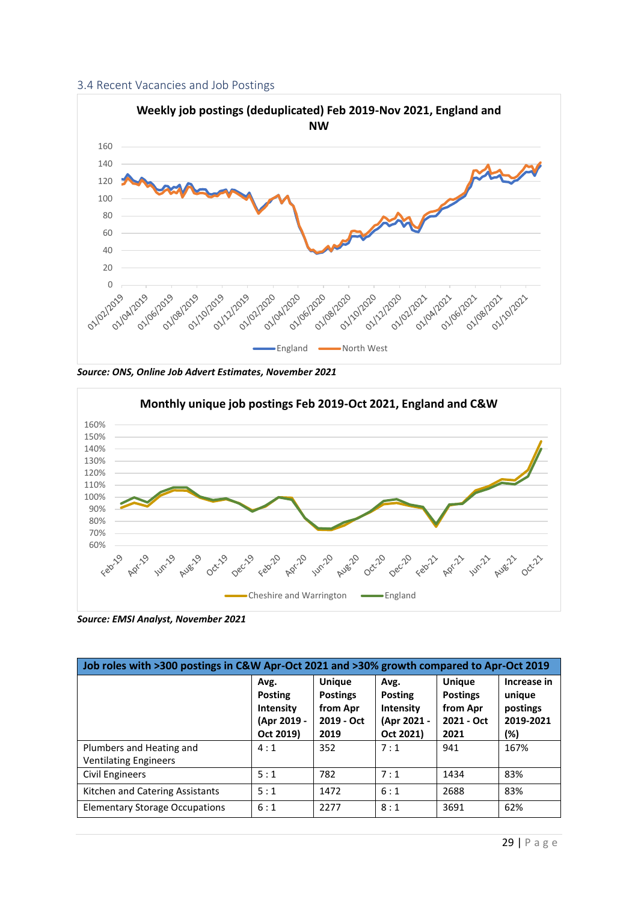



*Source: ONS, Online Job Advert Estimates, November 2021*



*Source: EMSI Analyst, November 2021*

| Job roles with >300 postings in C&W Apr-Oct 2021 and >30% growth compared to Apr-Oct 2019 |                                                                        |                                                                    |                                                                 |                                                                    |                                                       |  |  |  |
|-------------------------------------------------------------------------------------------|------------------------------------------------------------------------|--------------------------------------------------------------------|-----------------------------------------------------------------|--------------------------------------------------------------------|-------------------------------------------------------|--|--|--|
|                                                                                           | Avg.<br><b>Posting</b><br><b>Intensity</b><br>(Apr 2019 -<br>Oct 2019) | <b>Unique</b><br><b>Postings</b><br>from Apr<br>2019 - Oct<br>2019 | Avg.<br><b>Posting</b><br>Intensity<br>(Apr 2021 -<br>Oct 2021) | <b>Unique</b><br><b>Postings</b><br>from Apr<br>2021 - Oct<br>2021 | Increase in<br>unique<br>postings<br>2019-2021<br>(%) |  |  |  |
| Plumbers and Heating and<br><b>Ventilating Engineers</b>                                  | 4:1                                                                    | 352                                                                | 7:1                                                             | 941                                                                | 167%                                                  |  |  |  |
| Civil Engineers                                                                           | 5:1                                                                    | 782                                                                | 7:1                                                             | 1434                                                               | 83%                                                   |  |  |  |
| Kitchen and Catering Assistants                                                           | 5:1                                                                    | 1472                                                               | 6:1                                                             | 2688                                                               | 83%                                                   |  |  |  |
| <b>Elementary Storage Occupations</b>                                                     | 6:1                                                                    | 2277                                                               | 8:1                                                             | 3691                                                               | 62%                                                   |  |  |  |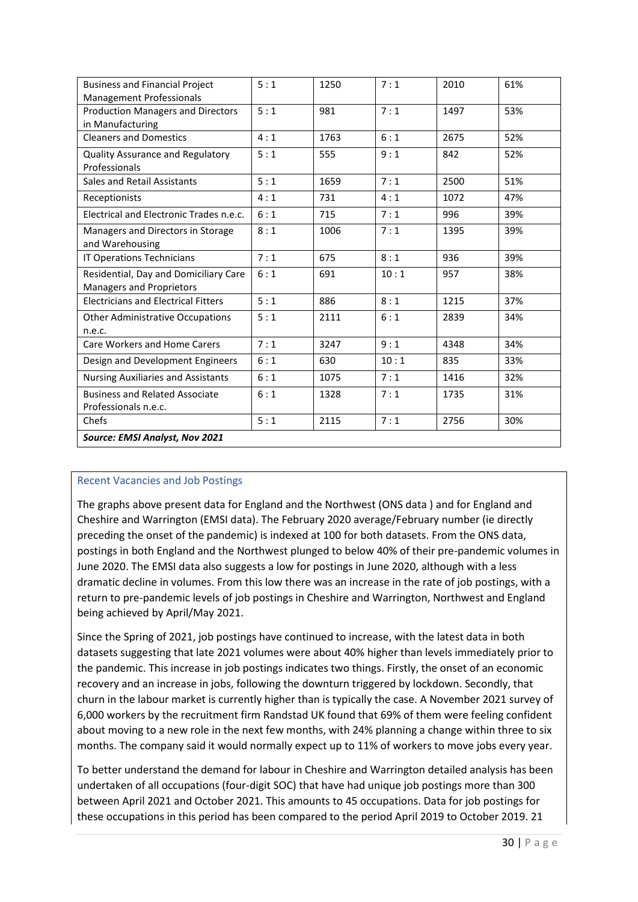| <b>Business and Financial Project</b>      | 5:1 | 1250 | 7:1  | 2010 | 61% |  |
|--------------------------------------------|-----|------|------|------|-----|--|
| Management Professionals                   |     |      |      |      |     |  |
| <b>Production Managers and Directors</b>   | 5:1 | 981  | 7:1  | 1497 | 53% |  |
| in Manufacturing                           |     |      |      |      |     |  |
| <b>Cleaners and Domestics</b>              | 4:1 | 1763 | 6:1  | 2675 | 52% |  |
| Quality Assurance and Regulatory           | 5:1 | 555  | 9:1  | 842  | 52% |  |
| Professionals                              |     |      |      |      |     |  |
| Sales and Retail Assistants                | 5:1 | 1659 | 7:1  | 2500 | 51% |  |
| Receptionists                              | 4:1 | 731  | 4:1  | 1072 | 47% |  |
| Electrical and Electronic Trades n.e.c.    | 6:1 | 715  | 7:1  | 996  | 39% |  |
| Managers and Directors in Storage          | 8:1 | 1006 | 7:1  | 1395 | 39% |  |
| and Warehousing                            |     |      |      |      |     |  |
| IT Operations Technicians                  | 7:1 | 675  | 8:1  | 936  | 39% |  |
| Residential, Day and Domiciliary Care      | 6:1 | 691  | 10:1 | 957  | 38% |  |
| Managers and Proprietors                   |     |      |      |      |     |  |
| <b>Electricians and Electrical Fitters</b> | 5:1 | 886  | 8:1  | 1215 | 37% |  |
| <b>Other Administrative Occupations</b>    | 5:1 | 2111 | 6:1  | 2839 | 34% |  |
| n.e.c.                                     |     |      |      |      |     |  |
| Care Workers and Home Carers               | 7:1 | 3247 | 9:1  | 4348 | 34% |  |
| Design and Development Engineers           | 6:1 | 630  | 10:1 | 835  | 33% |  |
| <b>Nursing Auxiliaries and Assistants</b>  | 6:1 | 1075 | 7:1  | 1416 | 32% |  |
| <b>Business and Related Associate</b>      | 6:1 | 1328 | 7:1  | 1735 | 31% |  |
| Professionals n.e.c.                       |     |      |      |      |     |  |
| Chefs                                      | 5:1 | 2115 | 7:1  | 2756 | 30% |  |
| Source: EMSI Analyst, Nov 2021             |     |      |      |      |     |  |

#### Recent Vacancies and Job Postings

The graphs above present data for England and the Northwest (ONS data ) and for England and Cheshire and Warrington (EMSI data). The February 2020 average/February number (ie directly preceding the onset of the pandemic) is indexed at 100 for both datasets. From the ONS data, postings in both England and the Northwest plunged to below 40% of their pre-pandemic volumes in June 2020. The EMSI data also suggests a low for postings in June 2020, although with a less dramatic decline in volumes. From this low there was an increase in the rate of job postings, with a return to pre-pandemic levels of job postings in Cheshire and Warrington, Northwest and England being achieved by April/May 2021.

Since the Spring of 2021, job postings have continued to increase, with the latest data in both datasets suggesting that late 2021 volumes were about 40% higher than levels immediately prior to the pandemic. This increase in job postings indicates two things. Firstly, the onset of an economic recovery and an increase in jobs, following the downturn triggered by lockdown. Secondly, that churn in the labour market is currently higher than is typically the case. A November 2021 survey of 6,000 workers by the recruitment firm Randstad UK found that 69% of them were feeling confident about moving to a new role in the next few months, with 24% planning a change within three to six months. The company said it would normally expect up to 11% of workers to move jobs every year.

To better understand the demand for labour in Cheshire and Warrington detailed analysis has been undertaken of all occupations (four-digit SOC) that have had unique job postings more than 300 between April 2021 and October 2021. This amounts to 45 occupations. Data for job postings for these occupations in this period has been compared to the period April 2019 to October 2019. 21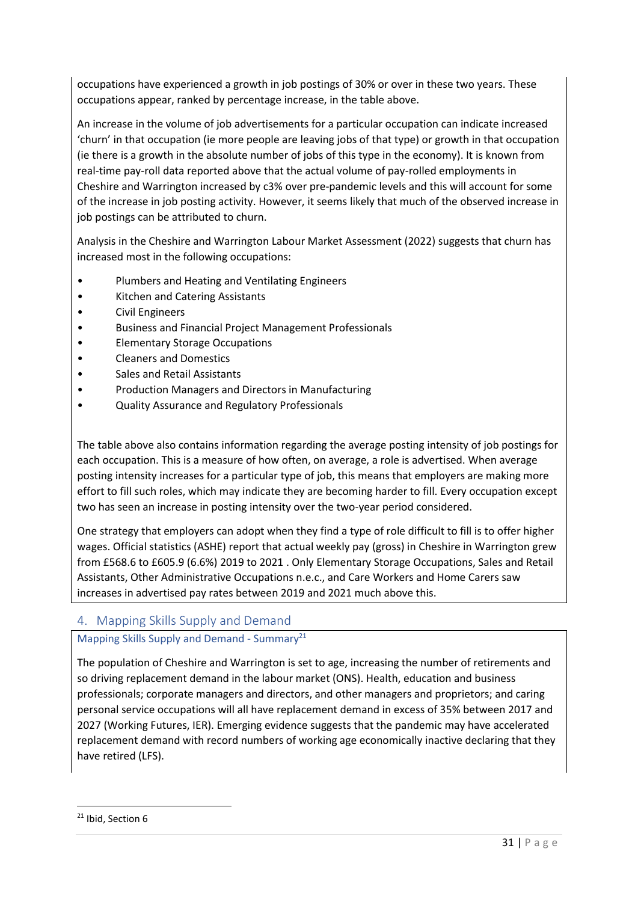occupations have experienced a growth in job postings of 30% or over in these two years. These occupations appear, ranked by percentage increase, in the table above.

An increase in the volume of job advertisements for a particular occupation can indicate increased 'churn' in that occupation (ie more people are leaving jobs of that type) or growth in that occupation (ie there is a growth in the absolute number of jobs of this type in the economy). It is known from real-time pay-roll data reported above that the actual volume of pay-rolled employments in Cheshire and Warrington increased by c3% over pre-pandemic levels and this will account for some of the increase in job posting activity. However, it seems likely that much of the observed increase in job postings can be attributed to churn.

Analysis in the Cheshire and Warrington Labour Market Assessment (2022) suggests that churn has increased most in the following occupations:

- Plumbers and Heating and Ventilating Engineers
- Kitchen and Catering Assistants
- Civil Engineers
- Business and Financial Project Management Professionals
- Elementary Storage Occupations
- Cleaners and Domestics
- Sales and Retail Assistants
- Production Managers and Directors in Manufacturing
- Quality Assurance and Regulatory Professionals

The table above also contains information regarding the average posting intensity of job postings for each occupation. This is a measure of how often, on average, a role is advertised. When average posting intensity increases for a particular type of job, this means that employers are making more effort to fill such roles, which may indicate they are becoming harder to fill. Every occupation except two has seen an increase in posting intensity over the two-year period considered.

One strategy that employers can adopt when they find a type of role difficult to fill is to offer higher wages. Official statistics (ASHE) report that actual weekly pay (gross) in Cheshire in Warrington grew from £568.6 to £605.9 (6.6%) 2019 to 2021 . Only Elementary Storage Occupations, Sales and Retail Assistants, Other Administrative Occupations n.e.c., and Care Workers and Home Carers saw increases in advertised pay rates between 2019 and 2021 much above this.

# 4. Mapping Skills Supply and Demand

## Mapping Skills Supply and Demand - Summary<sup>21</sup>

The population of Cheshire and Warrington is set to age, increasing the number of retirements and so driving replacement demand in the labour market (ONS). Health, education and business professionals; corporate managers and directors, and other managers and proprietors; and caring personal service occupations will all have replacement demand in excess of 35% between 2017 and 2027 (Working Futures, IER). Emerging evidence suggests that the pandemic may have accelerated replacement demand with record numbers of working age economically inactive declaring that they have retired (LFS).

<sup>&</sup>lt;sup>21</sup> Ibid, Section 6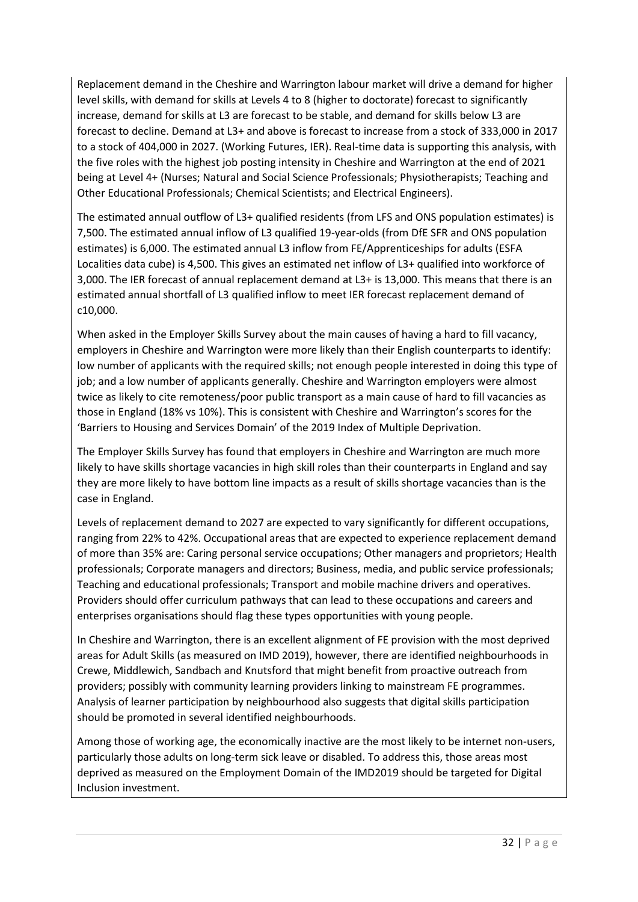Replacement demand in the Cheshire and Warrington labour market will drive a demand for higher level skills, with demand for skills at Levels 4 to 8 (higher to doctorate) forecast to significantly increase, demand for skills at L3 are forecast to be stable, and demand for skills below L3 are forecast to decline. Demand at L3+ and above is forecast to increase from a stock of 333,000 in 2017 to a stock of 404,000 in 2027. (Working Futures, IER). Real-time data is supporting this analysis, with the five roles with the highest job posting intensity in Cheshire and Warrington at the end of 2021 being at Level 4+ (Nurses; Natural and Social Science Professionals; Physiotherapists; Teaching and Other Educational Professionals; Chemical Scientists; and Electrical Engineers).

The estimated annual outflow of L3+ qualified residents (from LFS and ONS population estimates) is 7,500. The estimated annual inflow of L3 qualified 19-year-olds (from DfE SFR and ONS population estimates) is 6,000. The estimated annual L3 inflow from FE/Apprenticeships for adults (ESFA Localities data cube) is 4,500. This gives an estimated net inflow of L3+ qualified into workforce of 3,000. The IER forecast of annual replacement demand at L3+ is 13,000. This means that there is an estimated annual shortfall of L3 qualified inflow to meet IER forecast replacement demand of c10,000.

When asked in the Employer Skills Survey about the main causes of having a hard to fill vacancy, employers in Cheshire and Warrington were more likely than their English counterparts to identify: low number of applicants with the required skills; not enough people interested in doing this type of job; and a low number of applicants generally. Cheshire and Warrington employers were almost twice as likely to cite remoteness/poor public transport as a main cause of hard to fill vacancies as those in England (18% vs 10%). This is consistent with Cheshire and Warrington's scores for the 'Barriers to Housing and Services Domain' of the 2019 Index of Multiple Deprivation.

The Employer Skills Survey has found that employers in Cheshire and Warrington are much more likely to have skills shortage vacancies in high skill roles than their counterparts in England and say they are more likely to have bottom line impacts as a result of skills shortage vacancies than is the case in England.

Levels of replacement demand to 2027 are expected to vary significantly for different occupations, ranging from 22% to 42%. Occupational areas that are expected to experience replacement demand of more than 35% are: Caring personal service occupations; Other managers and proprietors; Health professionals; Corporate managers and directors; Business, media, and public service professionals; Teaching and educational professionals; Transport and mobile machine drivers and operatives. Providers should offer curriculum pathways that can lead to these occupations and careers and enterprises organisations should flag these types opportunities with young people.

In Cheshire and Warrington, there is an excellent alignment of FE provision with the most deprived areas for Adult Skills (as measured on IMD 2019), however, there are identified neighbourhoods in Crewe, Middlewich, Sandbach and Knutsford that might benefit from proactive outreach from providers; possibly with community learning providers linking to mainstream FE programmes. Analysis of learner participation by neighbourhood also suggests that digital skills participation should be promoted in several identified neighbourhoods.

Among those of working age, the economically inactive are the most likely to be internet non-users, particularly those adults on long-term sick leave or disabled. To address this, those areas most deprived as measured on the Employment Domain of the IMD2019 should be targeted for Digital Inclusion investment.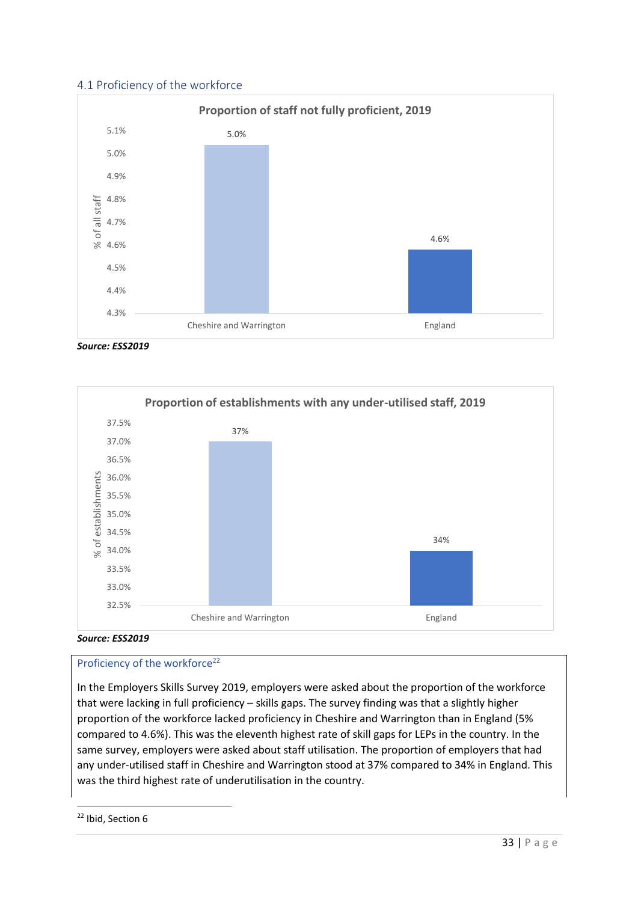## 4.1 Proficiency of the workforce



*Source: ESS2019*





## Proficiency of the workforce<sup>22</sup>

In the Employers Skills Survey 2019, employers were asked about the proportion of the workforce that were lacking in full proficiency – skills gaps. The survey finding was that a slightly higher proportion of the workforce lacked proficiency in Cheshire and Warrington than in England (5% compared to 4.6%). This was the eleventh highest rate of skill gaps for LEPs in the country. In the same survey, employers were asked about staff utilisation. The proportion of employers that had any under-utilised staff in Cheshire and Warrington stood at 37% compared to 34% in England. This was the third highest rate of underutilisation in the country.

<sup>&</sup>lt;sup>22</sup> Ibid, Section 6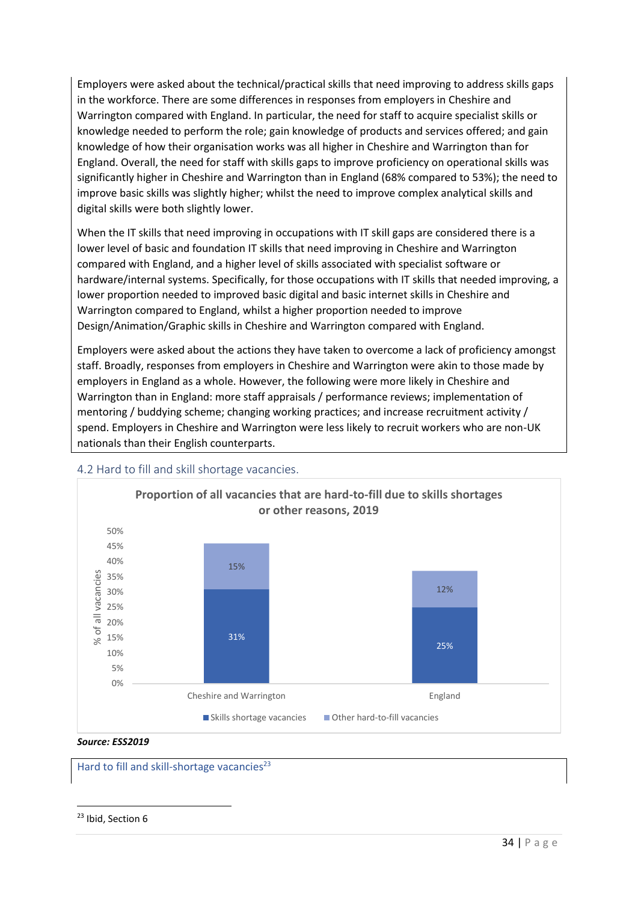Employers were asked about the technical/practical skills that need improving to address skills gaps in the workforce. There are some differences in responses from employers in Cheshire and Warrington compared with England. In particular, the need for staff to acquire specialist skills or knowledge needed to perform the role; gain knowledge of products and services offered; and gain knowledge of how their organisation works was all higher in Cheshire and Warrington than for England. Overall, the need for staff with skills gaps to improve proficiency on operational skills was significantly higher in Cheshire and Warrington than in England (68% compared to 53%); the need to improve basic skills was slightly higher; whilst the need to improve complex analytical skills and digital skills were both slightly lower.

When the IT skills that need improving in occupations with IT skill gaps are considered there is a lower level of basic and foundation IT skills that need improving in Cheshire and Warrington compared with England, and a higher level of skills associated with specialist software or hardware/internal systems. Specifically, for those occupations with IT skills that needed improving, a lower proportion needed to improved basic digital and basic internet skills in Cheshire and Warrington compared to England, whilst a higher proportion needed to improve Design/Animation/Graphic skills in Cheshire and Warrington compared with England.

Employers were asked about the actions they have taken to overcome a lack of proficiency amongst staff. Broadly, responses from employers in Cheshire and Warrington were akin to those made by employers in England as a whole. However, the following were more likely in Cheshire and Warrington than in England: more staff appraisals / performance reviews; implementation of mentoring / buddying scheme; changing working practices; and increase recruitment activity / spend. Employers in Cheshire and Warrington were less likely to recruit workers who are non-UK nationals than their English counterparts.



#### 4.2 Hard to fill and skill shortage vacancies.

Hard to fill and skill-shortage vacancies<sup>23</sup>

<sup>23</sup> Ibid, Section 6

*Source: ESS2019*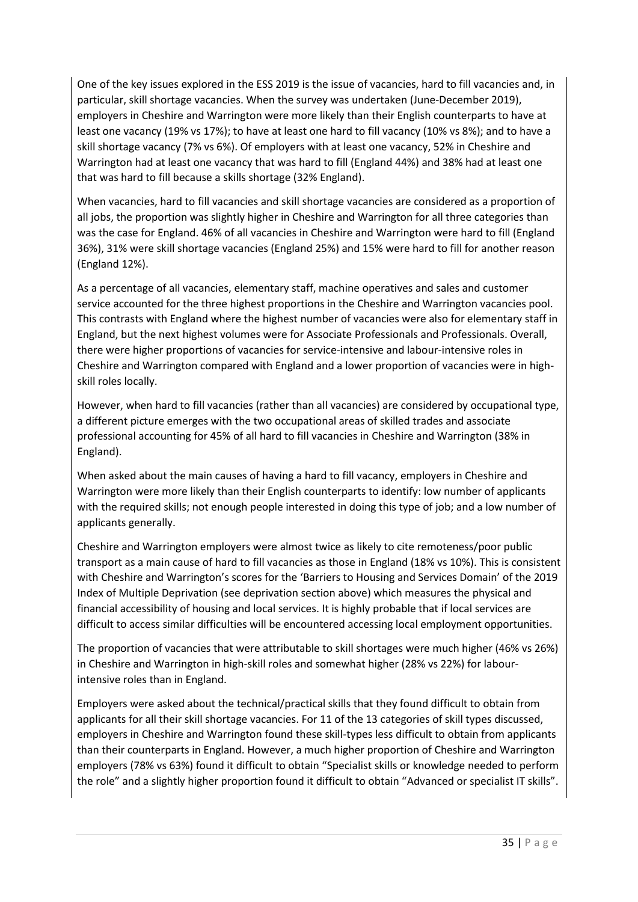One of the key issues explored in the ESS 2019 is the issue of vacancies, hard to fill vacancies and, in particular, skill shortage vacancies. When the survey was undertaken (June-December 2019), employers in Cheshire and Warrington were more likely than their English counterparts to have at least one vacancy (19% vs 17%); to have at least one hard to fill vacancy (10% vs 8%); and to have a skill shortage vacancy (7% vs 6%). Of employers with at least one vacancy, 52% in Cheshire and Warrington had at least one vacancy that was hard to fill (England 44%) and 38% had at least one that was hard to fill because a skills shortage (32% England).

When vacancies, hard to fill vacancies and skill shortage vacancies are considered as a proportion of all jobs, the proportion was slightly higher in Cheshire and Warrington for all three categories than was the case for England. 46% of all vacancies in Cheshire and Warrington were hard to fill (England 36%), 31% were skill shortage vacancies (England 25%) and 15% were hard to fill for another reason (England 12%).

As a percentage of all vacancies, elementary staff, machine operatives and sales and customer service accounted for the three highest proportions in the Cheshire and Warrington vacancies pool. This contrasts with England where the highest number of vacancies were also for elementary staff in England, but the next highest volumes were for Associate Professionals and Professionals. Overall, there were higher proportions of vacancies for service-intensive and labour-intensive roles in Cheshire and Warrington compared with England and a lower proportion of vacancies were in highskill roles locally.

However, when hard to fill vacancies (rather than all vacancies) are considered by occupational type, a different picture emerges with the two occupational areas of skilled trades and associate professional accounting for 45% of all hard to fill vacancies in Cheshire and Warrington (38% in England).

When asked about the main causes of having a hard to fill vacancy, employers in Cheshire and Warrington were more likely than their English counterparts to identify: low number of applicants with the required skills; not enough people interested in doing this type of job; and a low number of applicants generally.

Cheshire and Warrington employers were almost twice as likely to cite remoteness/poor public transport as a main cause of hard to fill vacancies as those in England (18% vs 10%). This is consistent with Cheshire and Warrington's scores for the 'Barriers to Housing and Services Domain' of the 2019 Index of Multiple Deprivation (see deprivation section above) which measures the physical and financial accessibility of housing and local services. It is highly probable that if local services are difficult to access similar difficulties will be encountered accessing local employment opportunities.

The proportion of vacancies that were attributable to skill shortages were much higher (46% vs 26%) in Cheshire and Warrington in high-skill roles and somewhat higher (28% vs 22%) for labourintensive roles than in England.

Employers were asked about the technical/practical skills that they found difficult to obtain from applicants for all their skill shortage vacancies. For 11 of the 13 categories of skill types discussed, employers in Cheshire and Warrington found these skill-types less difficult to obtain from applicants than their counterparts in England. However, a much higher proportion of Cheshire and Warrington employers (78% vs 63%) found it difficult to obtain "Specialist skills or knowledge needed to perform the role" and a slightly higher proportion found it difficult to obtain "Advanced or specialist IT skills".